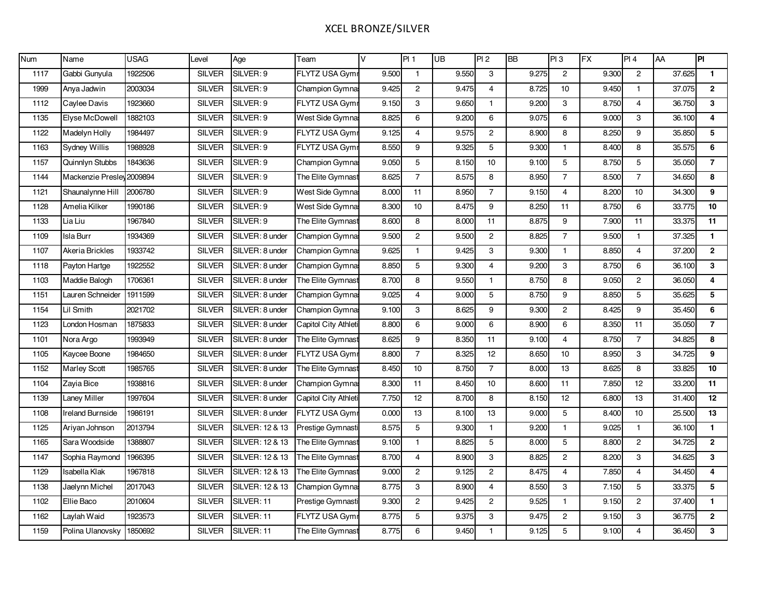# XCEL BRONZE/SILVER

| Num  | Name                      | <b>USAG</b> | Level         | Age             | Team                  | V     | PI <sub>1</sub> | UB    | PI2             | <b>BB</b> | PI3            | <b>FX</b> | PI 4           | AA     | PI              |
|------|---------------------------|-------------|---------------|-----------------|-----------------------|-------|-----------------|-------|-----------------|-----------|----------------|-----------|----------------|--------|-----------------|
| 1117 | Gabbi Gunyula             | 1922506     | <b>SILVER</b> | SILVER: 9       | FLYTZ USA Gymi        | 9.500 | $\mathbf{1}$    | 9.550 | 3               | 9.275     | $\overline{2}$ | 9.300     | $\overline{2}$ | 37.625 | $\mathbf{1}$    |
| 1999 | Anya Jadwin               | 2003034     | <b>SILVER</b> | SILVER: 9       | Champion Gymna        | 9.425 | $\overline{2}$  | 9.475 | $\overline{4}$  | 8.725     | 10             | 9.450     | $\mathbf{1}$   | 37.075 | $\overline{2}$  |
| 1112 | Caylee Davis              | 1923660     | <b>SILVER</b> | SILVER: 9       | FLYTZ USA Gym         | 9.150 | 3               | 9.650 | 1.              | 9.200     | 3              | 8.750     | $\overline{4}$ | 36.750 | $\mathbf{3}$    |
| 1135 | Elyse McDowell            | 1882103     | <b>SILVER</b> | SILVER: 9       | West Side Gymna       | 8.825 | 6               | 9.200 | 6               | 9.075     | 6              | 9.000     | 3              | 36.100 | $\overline{4}$  |
| 1122 | Madelyn Holly             | 1984497     | <b>SILVER</b> | SILVER: 9       | <b>FLYTZ USA Gymi</b> | 9.125 | 4               | 9.575 | $\mathbf{2}$    | 8.900     | 8              | 8.250     | 9              | 35.850 | 5               |
| 1163 | Sydney Willis             | 1988928     | <b>SILVER</b> | SILVER: 9       | <b>FLYTZ USA Gymi</b> | 8.550 | 9               | 9.325 | 5               | 9.300     | $\mathbf{1}$   | 8.400     | 8              | 35.575 | 6               |
| 1157 | Quinnlyn Stubbs           | 1843636     | <b>SILVER</b> | SILVER: 9       | Champion Gymna        | 9.050 | 5               | 8.150 | 10              | 9.100     | 5              | 8.750     | 5              | 35.050 | $\overline{7}$  |
| 1144 | Mackenzie Presley 2009894 |             | <b>SILVER</b> | SILVER: 9       | The Elite Gymnast     | 8.625 | $\overline{7}$  | 8.575 | 8               | 8.950     | $\overline{7}$ | 8.500     | $\overline{7}$ | 34.650 | 8               |
| 1121 | Shaunalynne Hill          | 2006780     | <b>SILVER</b> | SILVER: 9       | West Side Gymna       | 8.000 | 11              | 8.950 | $\overline{7}$  | 9.150     | $\overline{4}$ | 8.200     | 10             | 34.300 | 9               |
| 1128 | Amelia Kilker             | 1990186     | <b>SILVER</b> | SILVER: 9       | West Side Gymna       | 8.300 | 10              | 8.475 | 9               | 8.250     | 11             | 8.750     | 6              | 33.775 | 10              |
| 1133 | Lia Liu                   | 1967840     | <b>SILVER</b> | SILVER: 9       | The Elite Gymnast     | 8.600 | 8               | 8.000 | 11              | 8.875     | 9              | 7.900     | 11             | 33.375 | 11              |
| 1109 | <b>Isla Burr</b>          | 1934369     | <b>SILVER</b> | SILVER: 8 under | Champion Gymna        | 9.500 | $\overline{2}$  | 9.500 | $\overline{2}$  | 8.825     | $\overline{7}$ | 9.500     | $\mathbf{1}$   | 37.325 | $\mathbf{1}$    |
| 1107 | Akeria Brickles           | 1933742     | <b>SILVER</b> | SILVER: 8 under | Champion Gymna:       | 9.625 | $\mathbf{1}$    | 9.425 | 3               | 9.300     | $\mathbf{1}$   | 8.850     | $\overline{4}$ | 37.200 | $\overline{2}$  |
| 1118 | Payton Hartge             | 1922552     | <b>SILVER</b> | SILVER: 8 under | Champion Gymna        | 8.850 | 5               | 9.300 | $\overline{4}$  | 9.200     | 3              | 8.750     | 6              | 36.100 | $\mathbf{3}$    |
| 1103 | Maddie Balogh             | 1706361     | <b>SILVER</b> | SILVER: 8 under | The Elite Gymnast     | 8.700 | 8               | 9.550 | $\mathbf{1}$    | 8.750     | 8              | 9.050     | $\overline{c}$ | 36.050 | 4               |
| 1151 | Lauren Schneider          | 1911599     | <b>SILVER</b> | SILVER: 8 under | Champion Gymna        | 9.025 | $\overline{4}$  | 9.000 | 5               | 8.750     | 9              | 8.850     | 5              | 35.625 | 5               |
| 1154 | Lil Smith                 | 2021702     | <b>SILVER</b> | SILVER: 8 under | Champion Gymna:       | 9.100 | 3               | 8.625 | 9               | 9.300     | $\mathbf{2}$   | 8.425     | 9              | 35.450 | 6               |
| 1123 | London Hosman             | 1875833     | <b>SILVER</b> | SILVER: 8 under | Capitol City Athleti  | 8.800 | 6               | 9.000 | 6               | 8.900     | 6              | 8.350     | 11             | 35.050 | $\overline{7}$  |
| 1101 | Nora Argo                 | 1993949     | <b>SILVER</b> | SILVER: 8 under | The Elite Gymnast     | 8.625 | 9               | 8.350 | 11              | 9.100     | $\overline{4}$ | 8.750     | $\overline{7}$ | 34.825 | 8               |
| 1105 | Kaycee Boone              | 1984650     | <b>SILVER</b> | SILVER: 8 under | <b>FLYTZ USA Gymr</b> | 8.800 | $\overline{7}$  | 8.325 | 12              | 8.650     | 10             | 8.950     | 3              | 34.725 | 9               |
| 1152 | <b>Marley Scott</b>       | 1985765     | <b>SILVER</b> | SILVER: 8 under | The Elite Gymnast     | 8.450 | 10              | 8.750 | $\overline{7}$  | 8.000     | 13             | 8.625     | 8              | 33.825 | 10              |
| 1104 | Zayia Bice                | 1938816     | <b>SILVER</b> | SILVER: 8 under | Champion Gymna        | 8.300 | 11              | 8.450 | $10\,$          | 8.600     | 11             | 7.850     | 12             | 33.200 | 11              |
| 1139 | <b>Laney Miller</b>       | 1997604     | <b>SILVER</b> | SILVER: 8 under | Capitol City Athleti  | 7.750 | 12              | 8.700 | 8               | 8.150     | 12             | 6.800     | 13             | 31.400 | 12              |
| 1108 | <b>Ireland Burnside</b>   | 1986191     | <b>SILVER</b> | SILVER: 8 under | <b>FLYTZ USA Gymr</b> | 0.000 | 13              | 8.100 | $\overline{13}$ | 9.000     | 5              | 8.400     | 10             | 25.500 | 13              |
| 1125 | Ariyan Johnson            | 2013794     | <b>SILVER</b> | SILVER: 12 & 13 | Prestige Gymnasti     | 8.575 | 5               | 9.300 | $\mathbf{1}$    | 9.200     | $\mathbf{1}$   | 9.025     | $\mathbf{1}$   | 36.100 | $\mathbf{1}$    |
| 1165 | Sara Woodside             | 1388807     | <b>SILVER</b> | SILVER: 12 & 13 | The Elite Gymnast     | 9.100 | $\mathbf{1}$    | 8.825 | $\overline{5}$  | 8.000     | 5              | 8.800     | $\overline{2}$ | 34.725 | $\overline{2}$  |
| 1147 | Sophia Raymond            | 1966395     | <b>SILVER</b> | SILVER: 12 & 13 | The Elite Gymnast     | 8.700 | $\overline{4}$  | 8.900 | 3               | 8.825     | $\overline{2}$ | 8.200     | 3              | 34.625 | 3               |
| 1129 | Isabella Klak             | 1967818     | <b>SILVER</b> | SILVER: 12 & 13 | The Elite Gymnast     | 9.000 | $\overline{2}$  | 9.125 | $\overline{2}$  | 8.475     | $\overline{4}$ | 7.850     | $\overline{4}$ | 34.450 | $\overline{4}$  |
| 1138 | Jaelynn Michel            | 2017043     | <b>SILVER</b> | SILVER: 12 & 13 | Champion Gymna        | 8.775 | $\mathbf{3}$    | 8.900 | $\overline{4}$  | 8.550     | 3              | 7.150     | 5              | 33.375 | $5\phantom{.0}$ |
| 1102 | Ellie Baco                | 2010604     | <b>SILVER</b> | SILVER: 11      | Prestige Gymnasti     | 9.300 | $\overline{2}$  | 9.425 | $\overline{2}$  | 9.525     | $\mathbf{1}$   | 9.150     | $\overline{c}$ | 37.400 | $\mathbf{1}$    |
| 1162 | Laylah Waid               | 1923573     | <b>SILVER</b> | SILVER: 11      | <b>FLYTZ USA Gymi</b> | 8.775 | $\sqrt{5}$      | 9.375 | 3               | 9.475     | $\overline{c}$ | 9.150     | $\mathbf 3$    | 36.775 | $\overline{2}$  |
| 1159 | Polina Ulanovsky          | 1850692     | <b>SILVER</b> | SILVER: 11      | The Elite Gymnast     | 8.775 | 6               | 9.450 | $\mathbf{1}$    | 9.125     | 5              | 9.100     | $\overline{4}$ | 36.450 | $\mathbf{3}$    |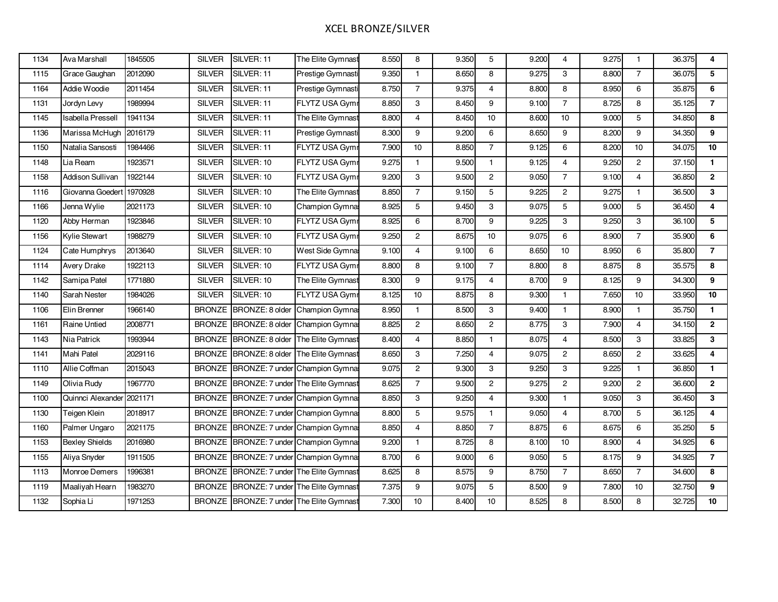# XCEL BRONZE/SILVER

| 1134 | Ava Marshall             | 1845505 | <b>SILVER</b> | SILVER: 11                               | The Elite Gymnast     | 8.550 | 8              | 9.350 | 5                | 9.200 | $\overline{4}$   | 9.275 | $\mathbf{1}$   | 36.375 | 4                       |
|------|--------------------------|---------|---------------|------------------------------------------|-----------------------|-------|----------------|-------|------------------|-------|------------------|-------|----------------|--------|-------------------------|
| 1115 | Grace Gaughan            | 2012090 | <b>SILVER</b> | SILVER: 11                               | Prestige Gymnasti     | 9.350 | $\mathbf{1}$   | 8.650 | 8                | 9.275 | 3                | 8.800 | $\overline{7}$ | 36.075 | 5                       |
| 1164 | Addie Woodie             | 2011454 | <b>SILVER</b> | SILVER: 11                               | Prestige Gymnasti     | 8.750 | $\overline{7}$ | 9.375 | 4                | 8.800 | 8                | 8.950 | 6              | 35.875 | 6                       |
| 1131 | Jordyn Levy              | 1989994 | <b>SILVER</b> | SILVER: 11                               | <b>FLYTZ USA Gymr</b> | 8.850 | 3              | 8.450 | 9                | 9.100 | $\overline{7}$   | 8.725 | 8              | 35.125 | $\overline{7}$          |
| 1145 | <b>Isabella Pressell</b> | 1941134 | <b>SILVER</b> | SILVER: 11                               | The Elite Gymnast     | 8.800 | $\overline{4}$ | 8.450 | 10 <sup>10</sup> | 8.600 | 10               | 9.000 | 5              | 34.850 | 8                       |
| 1136 | Marissa McHuqh           | 2016179 | <b>SILVER</b> | SILVER: 11                               | Prestige Gymnasti     | 8.300 | 9              | 9.200 | 6                | 8.650 | 9                | 8.200 | 9              | 34.350 | 9                       |
| 1150 | Natalia Sansosti         | 1984466 | <b>SILVER</b> | SILVER: 11                               | FLYTZ USA Gymr        | 7.900 | 10             | 8.850 | $\overline{7}$   | 9.125 | $\boldsymbol{6}$ | 8.200 | 10             | 34.075 | 10                      |
| 1148 | Lia Ream                 | 1923571 | <b>SILVER</b> | SILVER: 10                               | FLYTZ USA Gymr        | 9.275 | $\mathbf{1}$   | 9.500 | $\mathbf{1}$     | 9.125 | 4                | 9.250 | $\overline{2}$ | 37.150 | $\mathbf{1}$            |
| 1158 | <b>Addison Sullivan</b>  | 1922144 | <b>SILVER</b> | SILVER: 10                               | FLYTZ USA Gymr        | 9.200 | 3              | 9.500 | $\overline{2}$   | 9.050 | $\overline{7}$   | 9.100 | $\overline{4}$ | 36.850 | $\mathbf{2}$            |
| 1116 | Giovanna Goedert         | 1970928 | <b>SILVER</b> | SILVER: 10                               | The Elite Gymnast     | 8.850 | $\overline{7}$ | 9.150 | 5                | 9.225 | $\overline{2}$   | 9.275 | $\mathbf{1}$   | 36.500 | 3                       |
| 1166 | Jenna Wylie              | 2021173 | <b>SILVER</b> | SILVER: 10                               | Champion Gymna        | 8.925 | 5              | 9.450 | 3                | 9.075 | 5                | 9.000 | 5              | 36.450 | $\overline{4}$          |
| 1120 | Abby Herman              | 1923846 | <b>SILVER</b> | SILVER: 10                               | FLYTZ USA Gymr        | 8.925 | 6              | 8.700 | 9                | 9.225 | 3                | 9.250 | $\mathbf 3$    | 36.100 | 5                       |
| 1156 | Kylie Stewart            | 1988279 | <b>SILVER</b> | SILVER: 10                               | FLYTZ USA Gymr        | 9.250 | $\overline{2}$ | 8.675 | 10               | 9.075 | 6                | 8.900 | $\overline{7}$ | 35.900 | 6                       |
| 1124 | Cate Humphrys            | 2013640 | <b>SILVER</b> | SILVER: 10                               | West Side Gymna       | 9.100 | $\overline{4}$ | 9.100 | 6                | 8.650 | 10               | 8.950 | 6              | 35.800 | $\overline{7}$          |
| 1114 | Avery Drake              | 1922113 | <b>SILVER</b> | SILVER: 10                               | FLYTZ USA Gymr        | 8.800 | 8              | 9.100 | $\overline{7}$   | 8.800 | 8                | 8.875 | 8              | 35.575 | 8                       |
| 1142 | Samipa Patel             | 1771880 | <b>SILVER</b> | SILVER: 10                               | The Elite Gymnast     | 8.300 | 9              | 9.175 | $\overline{4}$   | 8.700 | 9                | 8.125 | 9              | 34.300 | 9                       |
| 1140 | Sarah Nester             | 1984026 | <b>SILVER</b> | SILVER: 10                               | FLYTZ USA Gymr        | 8.125 | $10$           | 8.875 | 8                | 9.300 | $\overline{1}$   | 7.650 | 10             | 33.950 | $10\,$                  |
| 1106 | Elin Brenner             | 1966140 | <b>BRONZE</b> | BRONZE: 8 older                          | Champion Gymna:       | 8.950 | $\mathbf{1}$   | 8.500 | 3                | 9.400 | $\mathbf{1}$     | 8.900 | $\mathbf{1}$   | 35.750 | $\mathbf{1}$            |
| 1161 | Raine Untied             | 2008771 | <b>BRONZE</b> | BRONZE: 8 older                          | Champion Gymnas       | 8.825 | $\mathbf{2}$   | 8.650 | $\overline{2}$   | 8.775 | 3                | 7.900 | $\overline{4}$ | 34.150 | $\mathbf{2}$            |
| 1143 | Nia Patrick              | 1993944 | <b>BRONZE</b> | BRONZE: 8 older                          | The Elite Gymnast     | 8.400 | $\overline{4}$ | 8.850 | $\mathbf{1}$     | 8.075 | $\overline{4}$   | 8.500 | 3              | 33.825 | 3                       |
| 1141 | Mahi Patel               | 2029116 | <b>BRONZE</b> | BRONZE: 8 older                          | The Elite Gymnast     | 8.650 | 3              | 7.250 | $\overline{4}$   | 9.075 | $\overline{c}$   | 8.650 | $\overline{2}$ | 33.625 | $\overline{\mathbf{4}}$ |
| 1110 | Allie Coffman            | 2015043 | <b>BRONZE</b> | BRONZE: 7 under Champion Gymna           |                       | 9.075 | $\mathbf{2}$   | 9.300 | 3                | 9.250 | 3                | 9.225 | $\mathbf{1}$   | 36.850 | $\mathbf{1}$            |
| 1149 | Olivia Rudy              | 1967770 |               | BRONZE BRONZE: 7 under The Elite Gymnast |                       | 8.625 | $\overline{7}$ | 9.500 | $\overline{2}$   | 9.275 | $\overline{2}$   | 9.200 | $\overline{2}$ | 36.600 | $\overline{2}$          |
| 1100 | Quinnci Alexander        | 2021171 | <b>BRONZE</b> | BRONZE: 7 under                          | Champion Gymna:       | 8.850 | 3              | 9.250 | $\overline{4}$   | 9.300 | $\mathbf{1}$     | 9.050 | 3              | 36.450 | 3                       |
| 1130 | Teigen Klein             | 2018917 | <b>BRONZE</b> | BRONZE: 7 under Champion Gymnas          |                       | 8.800 | 5              | 9.575 | $\mathbf{1}$     | 9.050 | $\overline{4}$   | 8.700 | 5              | 36.125 | $\overline{4}$          |
| 1160 | Palmer Ungaro            | 2021175 | <b>BRONZE</b> | BRONZE: 7 under Champion Gymnas          |                       | 8.850 | $\overline{4}$ | 8.850 | $\overline{7}$   | 8.875 | 6                | 8.675 | 6              | 35.250 | 5                       |
| 1153 | <b>Bexley Shields</b>    | 2016980 | <b>BRONZE</b> | BRONZE: 7 under Champion Gymnas          |                       | 9.200 | $\mathbf{1}$   | 8.725 | 8                | 8.100 | 10               | 8.900 | $\overline{4}$ | 34.925 | 6                       |
| 1155 | Aliya Snyder             | 1911505 |               | BRONZE BRONZE: 7 under Champion Gymna    |                       | 8.700 | 6              | 9.000 | 6                | 9.050 | 5                | 8.175 | 9              | 34.925 | $\overline{7}$          |
| 1113 | Monroe Demers            | 1996381 | <b>BRONZE</b> | BRONZE: 7 under The Elite Gymnast        |                       | 8.625 | 8              | 8.575 | 9                | 8.750 | $\overline{7}$   | 8.650 | $\overline{7}$ | 34.600 | 8                       |
| 1119 | Maaliyah Hearn           | 1983270 | <b>BRONZE</b> | BRONZE: 7 under The Elite Gymnast        |                       | 7.375 | 9              | 9.075 | 5                | 8.500 | 9                | 7.800 | 10             | 32.750 | 9                       |
| 1132 | Sophia Li                | 1971253 | <b>BRONZE</b> | BRONZE: 7 under The Elite Gymnast        |                       | 7.300 | 10             | 8.400 | 10               | 8.525 | 8                | 8.500 | 8              | 32.725 | 10                      |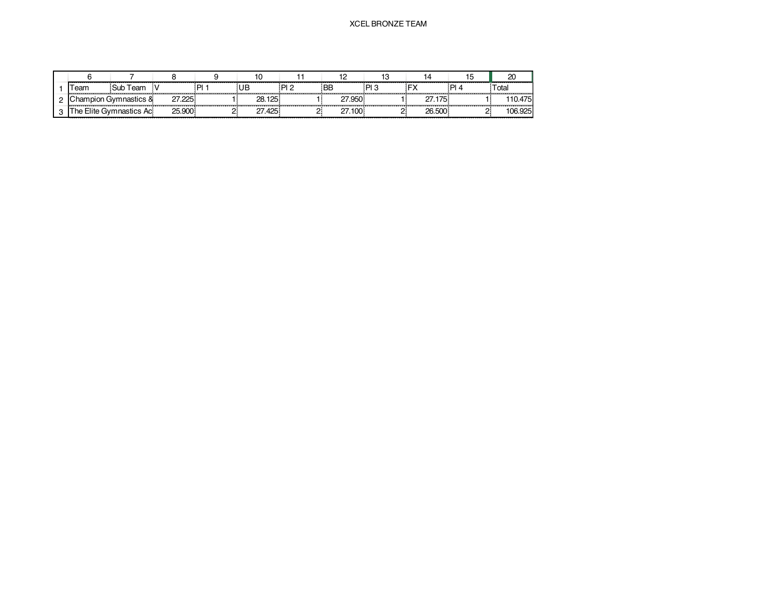|             |                         |        |    |        |        |           |       |        |      | 20      |
|-------------|-------------------------|--------|----|--------|--------|-----------|-------|--------|------|---------|
| <b>Feam</b> | Sub Team                |        | ום | UB     | - PL 2 | <b>BE</b> | פ ום: |        | ום : | Total   |
|             | Champion Gymnastics &   | 27.225 |    | 28.125 |        | 27.950    |       | 27.175 |      | 110.475 |
|             | The Elite Gymnastics Ac | 25.900 |    | 27.425 |        | 27.100    |       | 26,500 |      | 106.925 |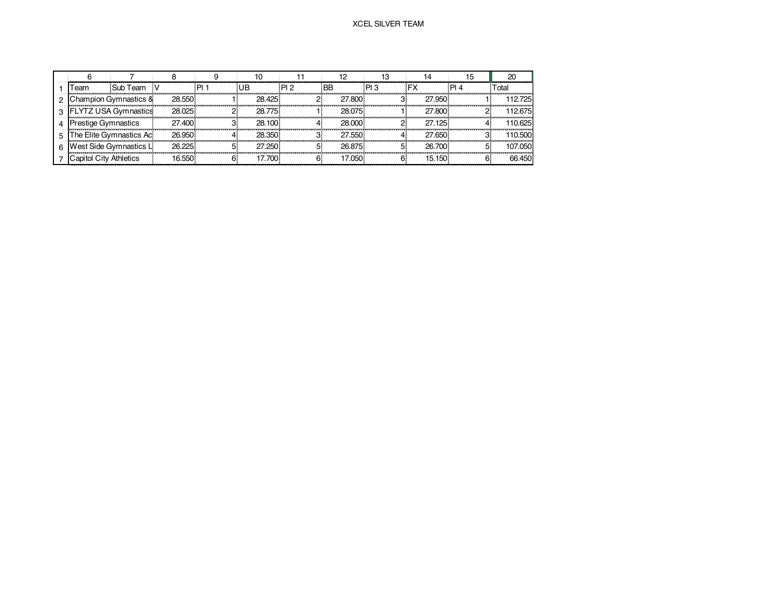|        |                               |                             |         |        |         |     |           |      |        |      | 20      |
|--------|-------------------------------|-----------------------------|---------|--------|---------|-----|-----------|------|--------|------|---------|
|        | <b>Feam</b>                   | Sub Team                    |         | . PL . | UB      | PI2 | <b>BB</b> | PI 3 |        | PI 4 | Гоtal   |
|        |                               | Champion Gvmnastics &       | 28.550  |        | 28.425  |     | 27,800    |      | 27.950 |      | 112.725 |
| $\sim$ |                               | <b>FLYTZ USA Gymnastics</b> | 28.025  |        | 28.775  |     | 28.075    |      | 27.800 |      | 112.675 |
|        | restige Gymnastics            |                             | 27.400  |        | 28.100  |     | 28,000    |      | 27.125 |      | 110.625 |
|        |                               | The Elite Gymnastics Ac     | 26.950  |        | 28.350  |     | 27.550    |      | 27.650 |      | 110.500 |
|        |                               | West Side Gymnastics L      | 26, 225 |        | 27 250  |     | 26.875    |      | 26,700 |      | 107.050 |
|        | <b>Capitol City Athletics</b> |                             | 16.550. |        | 17.700. |     | 17.050.   |      | 15.150 |      | 66.450  |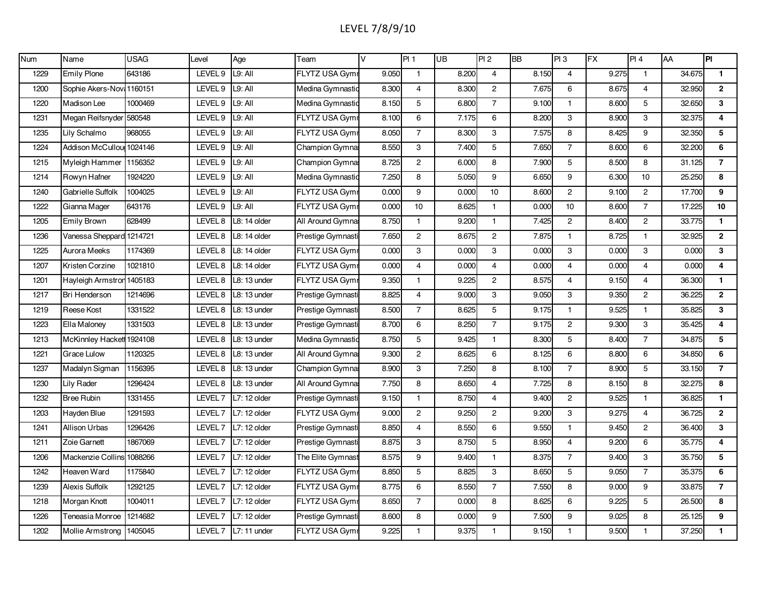# LEVEL 7/8/9/10

| <b>Num</b> | Name                      | <b>USAG</b> | Level              | Age           | Team                  | V     | PI 1           | $\overline{\mathsf{UB}}$ | PI2            | <b>BB</b> | PI3            | <b>FX</b> | PI 4           | AA     | $\overline{P}$          |
|------------|---------------------------|-------------|--------------------|---------------|-----------------------|-------|----------------|--------------------------|----------------|-----------|----------------|-----------|----------------|--------|-------------------------|
| 1229       | <b>Emily Plone</b>        | 643186      | LEVEL 9            | L9: All       | FLYTZ USA Gymr        | 9.050 | $\mathbf{1}$   | 8.200                    | $\overline{4}$ | 8.150     | $\overline{4}$ | 9.275     | $\mathbf{1}$   | 34.675 | $\mathbf{1}$            |
| 1200       | Sophie Akers-Nov: 1160151 |             | LEVEL 9            | L9: All       | Medina Gymnastic      | 8.300 | $\overline{4}$ | 8.300                    | $\overline{2}$ | 7.675     | 6              | 8.675     | $\overline{4}$ | 32.950 | $\mathbf{2}$            |
| 1220       | Madison Lee               | 1000469     | LEVEL 9            | L9: All       | Medina Gymnastic      | 8.150 | 5              | 6.800                    | $\overline{7}$ | 9.100     | $\mathbf{1}$   | 8.600     | 5              | 32.650 | 3                       |
| 1231       | Megan Reifsnyder          | 580548      | LEVEL 9            | L9: All       | <b>FLYTZ USA Gymr</b> | 8.100 | 6              | 7.175                    | 6              | 8.200     | 3              | 8.900     | 3              | 32.375 | $\overline{\mathbf{4}}$ |
| 1235       | Lily Schalmo              | 968055      | LEVEL 9            | L9: All       | FLYTZ USA Gymr        | 8.050 | $\overline{7}$ | 8.300                    | 3              | 7.575     | 8              | 8.425     | 9              | 32.350 | 5                       |
| 1224       | Addison McCullou 1024146  |             | LEVEL 9            | L9: All       | Champion Gymna        | 8.550 | 3              | 7.400                    | 5              | 7.650     | $\overline{7}$ | 8.600     | 6              | 32.200 | 6                       |
| 1215       | Myleigh Hammer            | 1156352     | LEVEL 9            | L9: All       | Champion Gymna        | 8.725 | $\overline{c}$ | 6.000                    | 8              | 7.900     | 5              | 8.500     | 8              | 31.125 | $\overline{7}$          |
| 1214       | Rowyn Hafner              | 1924220     | LEVEL 9            | L9: All       | Medina Gymnastic      | 7.250 | 8              | 5.050                    | 9              | 6.650     | 9              | 6.300     | 10             | 25.250 | 8                       |
| 1240       | Gabrielle Suffolk         | 1004025     | LEVEL 9            | L9: All       | FLYTZ USA Gym         | 0.000 | 9              | 0.000                    | 10             | 8.600     | $\overline{c}$ | 9.100     | $\mathbf{2}$   | 17.700 | 9                       |
| 1222       | Gianna Mager              | 643176      | LEVEL 9            | l9: All       | <b>FLYTZ USA Gymr</b> | 0.000 | 10             | 8.625                    | $\mathbf{1}$   | 0.000     | 10             | 8.600     | $\overline{7}$ | 17.225 | 10                      |
| 1205       | <b>Emily Brown</b>        | 628499      | LEVEL 8            | L8: 14 older  | All Around Gymna      | 8.750 | $\mathbf{1}$   | 9.200                    | $\mathbf{1}$   | 7.425     | $\overline{2}$ | 8.400     | $\overline{2}$ | 33.775 | $\mathbf{1}$            |
| 1236       | Vanessa Sheppard 1214721  |             | LEVEL 8            | $L8:14$ older | Prestige Gymnasti     | 7.650 | $\overline{c}$ | 8.675                    | $\overline{2}$ | 7.875     | $\mathbf{1}$   | 8.725     | $\mathbf{1}$   | 32.925 | $\overline{2}$          |
| 1225       | Aurora Meeks              | 1174369     | LEVEL <sub>8</sub> | $L8:14$ older | FLYTZ USA Gym         | 0.000 | 3              | 0.000                    | 3              | 0.000     | 3              | 0.000     | 3              | 0.000  | $\mathbf{3}$            |
| 1207       | Kristen Corzine           | 1021810     | LEVEL <sub>8</sub> | L8: 14 older  | <b>FLYTZ USA Gymr</b> | 0.000 | $\overline{4}$ | 0.000                    | $\overline{4}$ | 0.000     | $\overline{4}$ | 0.000     | $\overline{4}$ | 0.000  | $\overline{\mathbf{4}}$ |
| 1201       | Hayleigh Armstron 1405183 |             | LEVEL 8            | L8: 13 under  | <b>FLYTZ USA Gym</b>  | 9.350 | $\mathbf{1}$   | 9.225                    | $\overline{2}$ | 8.575     | $\overline{4}$ | 9.150     | 4              | 36.300 | 1.                      |
| 1217       | Bri Henderson             | 1214696     | LEVEL 8            | L8: 13 under  | Prestige Gymnasti     | 8.825 | $\overline{4}$ | 9.000                    | 3              | 9.050     | 3              | 9.350     | $\overline{2}$ | 36.225 | $\overline{2}$          |
| 1219       | Reese Kost                | 1331522     | LEVEL 8            | L8: 13 under  | Prestige Gymnasti     | 8.500 | $\overline{7}$ | 8.625                    | 5              | 9.175     | $\mathbf{1}$   | 9.525     | 1              | 35.825 | 3                       |
| 1223       | Ella Maloney              | 1331503     | LEVEL 8            | L8: 13 under  | Prestige Gymnasti     | 8.700 | 6              | 8.250                    | $\overline{7}$ | 9.175     | $\overline{2}$ | 9.300     | 3              | 35.425 | $\overline{\mathbf{4}}$ |
| 1213       | McKinnley Hackett 1924108 |             | LEVEL 8            | L8: 13 under  | Medina Gymnastic      | 8.750 | 5              | 9.425                    | $\mathbf{1}$   | 8.300     | 5              | 8.400     | $\overline{7}$ | 34.875 | 5                       |
| 1221       | Grace Lulow               | 1120325     | LEVEL 8            | L8: 13 under  | All Around Gymna      | 9.300 | $\overline{c}$ | 8.625                    | 6              | 8.125     | 6              | 8.800     | 6              | 34.850 | 6                       |
| 1237       | Madalyn Sigman            | 1156395     | LEVEL 8            | L8: 13 under  | Champion Gymna        | 8.900 | 3              | 7.250                    | 8              | 8.100     | $\overline{7}$ | 8.900     | 5              | 33.150 | $\overline{7}$          |
| 1230       | Lily Rader                | 1296424     | LEVEL 8            | L8: 13 under  | All Around Gymnas     | 7.750 | 8              | 8.650                    | $\overline{4}$ | 7.725     | 8              | 8.150     | 8              | 32.275 | 8                       |
| 1232       | <b>Bree Rubin</b>         | 1331455     | LEVEL <sub>7</sub> | L7: 12 older  | Prestige Gymnasti     | 9.150 | $\mathbf{1}$   | 8.750                    | $\overline{4}$ | 9.400     | $\overline{2}$ | 9.525     | $\mathbf{1}$   | 36.825 | $\mathbf{1}$            |
| 1203       | Hayden Blue               | 1291593     | LEVEL <sub>7</sub> | L7: 12 older  | FLYTZ USA Gymr        | 9.000 | $\overline{c}$ | 9.250                    | $\overline{2}$ | 9.200     | 3              | 9.275     | $\overline{4}$ | 36.725 | $\mathbf{2}$            |
| 1241       | <b>Allison Urbas</b>      | 1296426     | LEVEL <sub>7</sub> | L7: 12 older  | Prestige Gymnasti     | 8.850 | $\overline{4}$ | 8.550                    | 6              | 9.550     | $\mathbf{1}$   | 9.450     | $\overline{2}$ | 36.400 | 3                       |
| 1211       | Zoie Garnett              | 1867069     | LEVEL <sub>7</sub> | L7: 12 older  | Prestige Gymnasti     | 8.875 | 3              | 8.750                    | 5              | 8.950     | $\overline{4}$ | 9.200     | 6              | 35.775 | 4                       |
| 1206       | Mackenzie Collins 1088266 |             | LEVEL <sub>7</sub> | L7: 12 older  | The Elite Gymnast     | 8.575 | 9              | 9.400                    | $\mathbf{1}$   | 8.375     | $\overline{7}$ | 9.400     | 3              | 35.750 | 5                       |
| 1242       | Heaven Ward               | 1175840     | LEVEL <sub>7</sub> | L7: 12 older  | FLYTZ USA Gymr        | 8.850 | 5              | 8.825                    | 3              | 8.650     | 5              | 9.050     | $\overline{7}$ | 35.375 | 6                       |
| 1239       | Alexis Suffolk            | 1292125     | LEVEL <sub>7</sub> | L7: 12 older  | <b>FLYTZ USA Gym</b>  | 8.775 | 6              | 8.550                    | $\overline{7}$ | 7.550     | 8              | 9.000     | 9              | 33.875 | $\overline{7}$          |
| 1218       | Morgan Knott              | 1004011     | LEVEL 7            | L7: 12 older  | FLYTZ USA Gymr        | 8.650 | $\overline{7}$ | 0.000                    | 8              | 8.625     | 6              | 9.225     | 5              | 26.500 | 8                       |
| 1226       | Teneasia Monroe           | 1214682     | LEVEL <sub>7</sub> | L7: 12 older  | Prestige Gymnasti     | 8.600 | 8              | 0.000                    | 9              | 7.500     | 9              | 9.025     | 8              | 25.125 | 9                       |
| 1202       | Mollie Armstrong          | 1405045     | LEVEL <sub>7</sub> | L7: 11 under  | FLYTZ USA Gymr        | 9.225 | $\mathbf{1}$   | 9.375                    | $\mathbf{1}$   | 9.150     | $\mathbf{1}$   | 9.500     | $\mathbf{1}$   | 37.250 | $\mathbf{1}$            |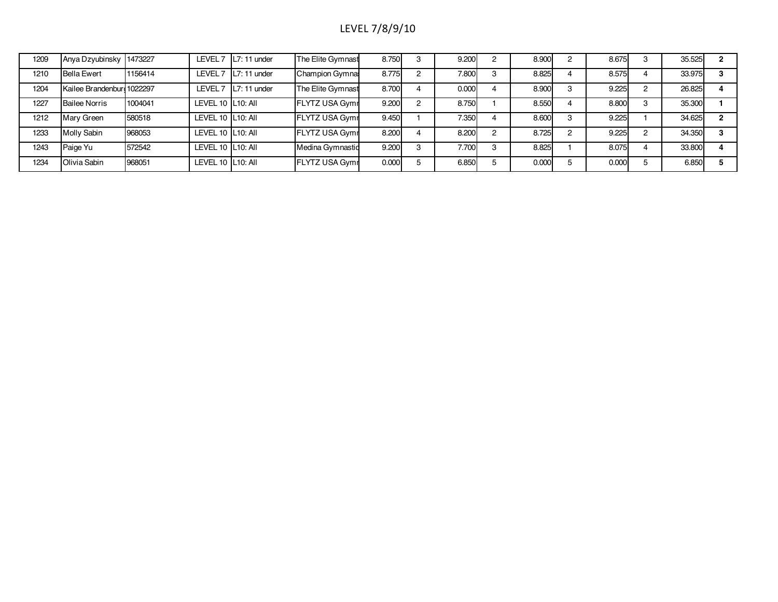# LEVEL 7/8/9/10

| 1209 | Anya Dzyubinsky 1473227    |         |                    | LEVEL $7$ L7: 11 under | The Elite Gymnast     | 8.750 | 3 | 9.200 | 8.900 |   | 8.675 |   | 35.525 |    |
|------|----------------------------|---------|--------------------|------------------------|-----------------------|-------|---|-------|-------|---|-------|---|--------|----|
| 1210 | <b>Bella Ewert</b>         | 1156414 |                    | LEVEL 7   L7: 11 under | Champion Gymna:       | 8.775 | ◠ | 7.800 | 8.825 |   | 8.575 |   | 33.975 |    |
| 1204 | Kailee Brandenburo 1022297 |         |                    | LEVEL 7   L7: 11 under | The Elite Gymnast     | 8.700 |   | 0.000 | 8.900 | З | 9.225 | C | 26.825 |    |
| 1227 | <b>Bailee Norris</b>       | 1004041 | LEVEL 10 IL10: All |                        | <b>FLYTZ USA Gymr</b> | 9.200 | ົ | 8.750 | 8.550 |   | 8.800 |   | 35.300 |    |
| 1212 | Mary Green                 | 580518  | LEVEL 10 L10: All  |                        | <b>FLYTZ USA Gymr</b> | 9.450 |   | 7.350 | 8.600 | 3 | 9.225 |   | 34.625 | o. |
| 1233 | Molly Sabin                | 968053  | LEVEL 10 L10: All  |                        | <b>FLYTZ USA Gymr</b> | 8.200 |   | 8.200 | 8.725 |   | 9.225 |   | 34.350 |    |
| 1243 | Paige Yu                   | 572542  | LEVEL 10 L10: All  |                        | Medina Gymnastid      | 9.200 | 3 | 7.700 | 8.825 |   | 8.075 |   | 33.800 |    |
| 1234 | Olivia Sabin               | 968051  | LEVEL 10 L10: All  |                        | <b>FLYTZ USA Gymr</b> | 0.000 |   | 6.850 | 0.000 |   | 0.000 |   | 6.850  |    |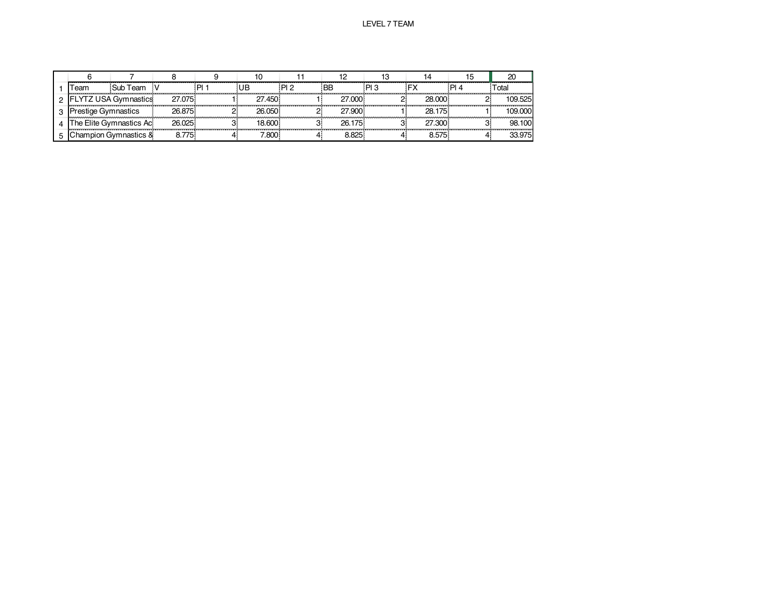|                    |                         |        |      | ιU      |       |        |      |        |      |         |
|--------------------|-------------------------|--------|------|---------|-------|--------|------|--------|------|---------|
| <b>Feam</b>        | Sub Team                |        | ום : |         | פ ום: |        | פ ום |        | PI 4 | otal    |
|                    | YTZ USA Gymnastics      | 27.075 |      | 27.450  |       | 27,000 |      | 28.000 |      | 109.525 |
| restige Gymnastics |                         | 26.875 |      | 26.050. |       | 27,900 |      | 28 175 |      | 109.000 |
|                    | The Elite Gvmnastics Ac | 26.025 |      | 18.600  |       | 26.175 |      | 27.300 |      | 98.100  |
|                    | Champion Gymnastics &   |        |      | .800    |       | ו הח   |      | .575   |      | 33.975  |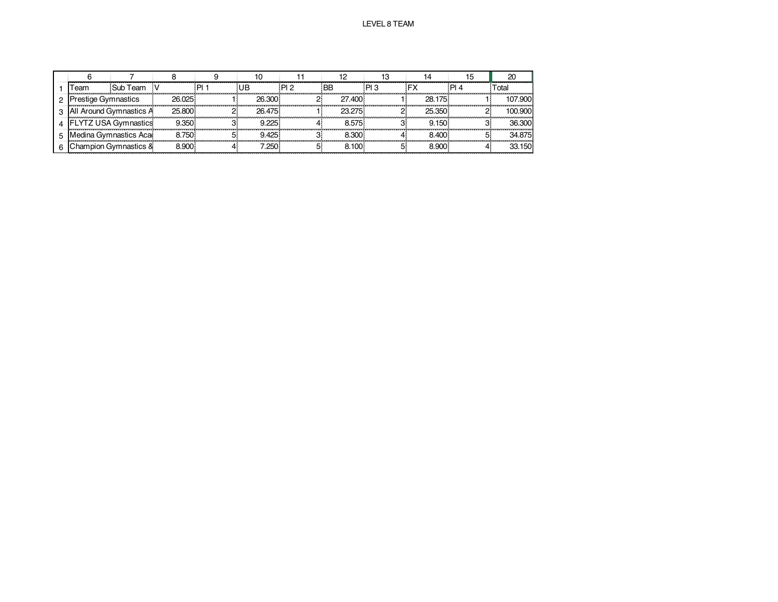|    | Геаm              | Sub Team                |          |        | PI 2 | 'BB               |         | ™otal   |
|----|-------------------|-------------------------|----------|--------|------|-------------------|---------|---------|
|    | estige Gymnastics |                         | 26.025   | 26.300 |      | 27.400            | 28 175  | 107.900 |
| C. |                   | All Around Gymnastics A | 25,800   | 26 475 |      | 23 275            | 25,350  | 100.900 |
|    |                   | LYTZ USA Gymnastics     | 9.350    | 9 225. |      | 8.575             | 9.150   | 36.300  |
|    |                   | 1edina Gvmnastics Acar  | 8.750    | 9425.  |      | 8.30C             | 8.400.  | 34 875  |
|    |                   | hampion Gymnastics &    | $2900 -$ | .250   |      | $\sim$ 100 $\sim$ | 3.900 · | 33.150  |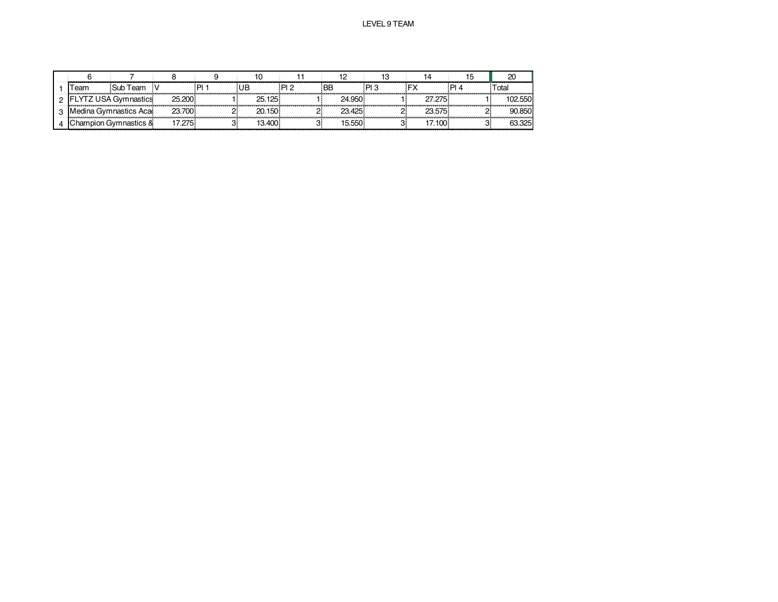| ' eam                 | Sub Team              |        |        | ים ום | BE     | PI 3 |         | ום : | <sup>-</sup> otal |
|-----------------------|-----------------------|--------|--------|-------|--------|------|---------|------|-------------------|
|                       | YTZ USA Gymnastics    | 25.200 | 25.125 |       | 24.950 |      | 27 275. |      | 102.550           |
| Medina Gymnastics Aca |                       | 23.700 | 20.150 |       | 23.425 |      | 23 575  |      | 90.850            |
|                       | `hampion Gymnastics & | .275   | .400   |       |        |      | $100 -$ |      | 63.325            |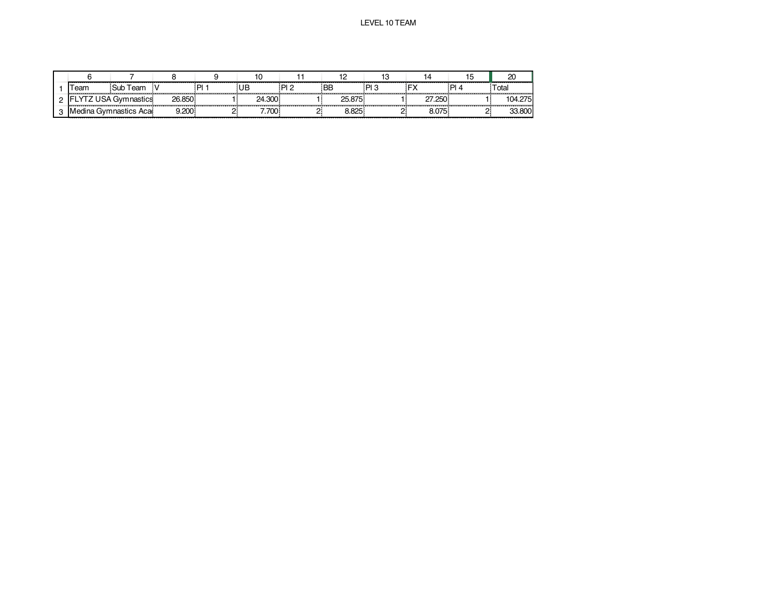|                                  |          |                   |      |        |        |           |     |        |     | ∠∪            |
|----------------------------------|----------|-------------------|------|--------|--------|-----------|-----|--------|-----|---------------|
| eam                              | Sub Team |                   | ום : | UB     | - PI 2 | <b>BB</b> | PI3 |        | PIA | Total         |
| <b>FLYTZ USA Gymnastics</b><br>. |          | 26.850            |      | 24.300 |        | 25.875    |     | 27.250 |     | 104.2751<br>. |
| Medina Gymnastics Aca            |          | .200 <sub>1</sub> |      | .700   |        | 8.825     |     | 8.075  |     | 33.800        |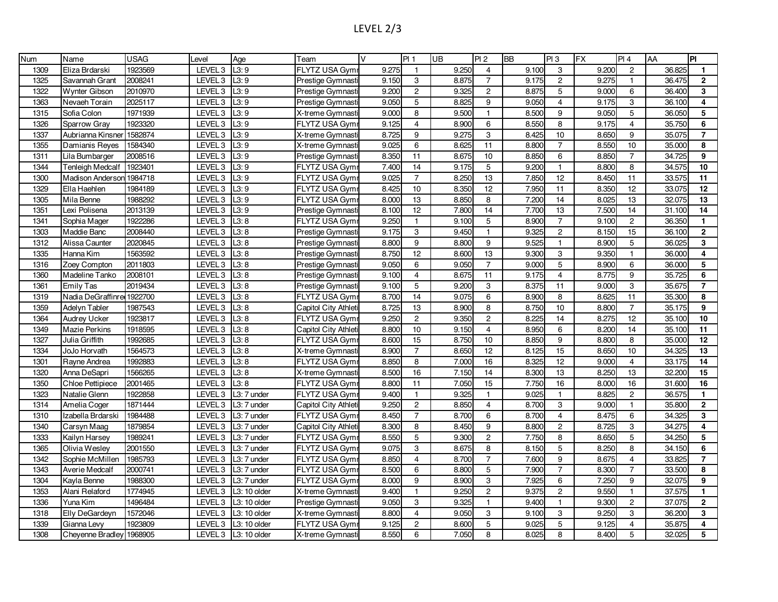| Num  | Name                     | <b>USAG</b> | Level              | Age          | Team                 | $\vee$ | PI 1            | UB    | PI <sub>2</sub>         | <b>BB</b> | PI3             | FX    | PI4             | AA     | PI             |
|------|--------------------------|-------------|--------------------|--------------|----------------------|--------|-----------------|-------|-------------------------|-----------|-----------------|-------|-----------------|--------|----------------|
| 1309 | Eliza Brdarski           | 1923569     | LEVEL <sub>3</sub> | L3:9         | FLYTZ USA Gym        | 9.275  | $\mathbf{1}$    | 9.250 | $\overline{4}$          | 9.100     | 3               | 9.200 | $\overline{2}$  | 36.825 | $\mathbf{1}$   |
| 1325 | Savannah Grant           | 2008241     | LEVEL <sub>3</sub> | L3:9         | Prestige Gymnast     | 9.150  | 3               | 8.875 | $\overline{7}$          | 9.175     | $\overline{2}$  | 9.275 | $\overline{1}$  | 36.475 | $\overline{2}$ |
| 1322 | <b>Wynter Gibson</b>     | 2010970     | LEVEL <sub>3</sub> | L3:9         | Prestige Gymnast     | 9.200  | $\overline{c}$  | 9.325 | $\overline{2}$          | 8.875     | $5\phantom{.0}$ | 9.000 | 6               | 36.400 | 3              |
| 1363 | Nevaeh Torain            | 2025117     | LEVEL <sub>3</sub> | L3:9         | Prestige Gymnasti    | 9.050  | $\mathbf 5$     | 8.825 | 9                       | 9.050     | $\overline{4}$  | 9.175 | 3               | 36.100 | 4              |
| 1315 | Sofia Colon              | 1971939     | LEVEL 3            | L3:9         | X-treme Gymnast      | 9.000  | 8               | 9.500 | $\mathbf{1}$            | 8.500     | 9               | 9.050 | 5               | 36.050 | $\sqrt{5}$     |
| 1326 | Sparrow Gray             | 1923320     | LEVEL <sub>3</sub> | L3:9         | FLYTZ USA Gym        | 9.125  | $\overline{4}$  | 8.900 | 6                       | 8.550     | $\overline{8}$  | 9.175 | $\overline{4}$  | 35.750 | $6\phantom{a}$ |
| 1337 | Aubrianna Kinsner        | 1582874     | LEVEL <sub>3</sub> | L3:9         | X-treme Gymnast      | 8.725  | 9               | 9.275 | 3                       | 8.425     | 10              | 8.650 | 9               | 35.075 | $\overline{7}$ |
| 1355 | Damianis Reyes           | 1584340     | LEVEL 3            | L3:9         | X-treme Gymnast      | 9.025  | 6               | 8.625 | 11                      | 8.800     | $\overline{7}$  | 8.550 | 10              | 35.000 | 8              |
| 1311 | Lila Bumbarger           | 2008516     | LEVEL <sub>3</sub> | L3:9         | Prestige Gymnast     | 8.350  | 11              | 8.675 | 10                      | 8.850     | 6               | 8.850 | $\overline{7}$  | 34.725 | 9              |
| 1344 | <b>Tenleigh Medcalf</b>  | 1923401     | LEVEL <sub>3</sub> | L3:9         | FLYTZ USA Gym        | 7.400  | 14              | 9.175 | 5                       | 9.200     | $\mathbf{1}$    | 8.800 | 8               | 34.575 | 10             |
| 1300 | <b>Madison Anderson</b>  | 1984718     | LEVEL 3            | L3:9         | FLYTZ USA Gym        | 9.025  | $\overline{7}$  | 8.250 | 13                      | 7.850     | 12              | 8.450 | 11              | 33.575 | 11             |
| 1329 | Ella Haehlen             | 1984189     | LEVEL <sub>3</sub> | L3:9         | FLYTZ USA Gym        | 8.425  | 10              | 8.350 | 12                      | 7.950     | 11              | 8.350 | $\overline{12}$ | 33.075 | 12             |
| 1305 | Mila Benne               | 1988292     | LEVEL <sub>3</sub> | L3:9         | FLYTZ USA Gym        | 8.000  | 13              | 8.850 | 8                       | 7.200     | 14              | 8.025 | 13              | 32.075 | 13             |
| 1351 | Lexi Polisena            | 2013139     | LEVEL 3            | L3:9         | Prestige Gymnast     | 8.100  | 12              | 7.800 | 14                      | 7.700     | 13              | 7.500 | 14              | 31.100 | 14             |
| 1341 | Sophia Mager             | 1922286     | LEVEL 3            | L3:8         | FLYTZ USA Gym        | 9.250  | $\mathbf{1}$    | 9.100 | 5                       | 8.900     | $\overline{7}$  | 9.100 | $\overline{c}$  | 36.350 | $\mathbf{1}$   |
| 1303 | Maddie Banc              | 2008440     | LEVEL <sub>3</sub> | L3:8         | Prestige Gymnasti    | 9.175  | 3               | 9.450 | $\mathbf{1}$            | 9.325     | $\overline{2}$  | 8.150 | 15              | 36.100 | $\mathbf{2}$   |
| 1312 | Alissa Caunter           | 2020845     | LEVEL 3            | L3:8         | Prestige Gymnast     | 8.800  | 9               | 8.800 | 9                       | 9.525     | $\mathbf{1}$    | 8.900 | 5               | 36.025 | 3              |
| 1335 | Hanna Kim                | 1563592     | LEVEL <sub>3</sub> | L3:8         | Prestige Gymnast     | 8.750  | $\overline{12}$ | 8.600 | 13                      | 9.300     | 3               | 9.350 | $\overline{1}$  | 36.000 | 4              |
| 1316 | Zoey Compton             | 2011803     | LEVEL <sub>3</sub> | L3:8         | Prestige Gymnasti    | 9.050  | 6               | 9.050 | $\overline{7}$          | 9.000     | 5               | 8.900 | 6               | 36.000 | 5              |
| 1360 | Madeline Tanko           | 2008101     | LEVEL 3            | L3:8         | Prestige Gymnast     | 9.100  | $\overline{4}$  | 8.675 | 11                      | 9.175     | $\overline{4}$  | 8.775 | 9               | 35.725 | 6              |
| 1361 | <b>Emily Tas</b>         | 2019434     | LEVEL <sub>3</sub> | L3:8         | Prestige Gymnast     | 9.100  | 5               | 9.200 | 3                       | 8.375     | 11              | 9.000 | 3               | 35.675 | $\overline{7}$ |
| 1319 | Nadia DeGraffinre        | 1922700     | LEVEL <sub>3</sub> | L3:8         | FLYTZ USA Gym        | 8.700  | 14              | 9.075 | 6                       | 8.900     | 8               | 8.625 | 11              | 35.300 | 8              |
| 1359 | Adelyn Tabler            | 1987543     | LEVEL 3            | L3:8         | Capitol City Athleti | 8.725  | 13              | 8.900 | 8                       | 8.750     | 10              | 8.800 | $\overline{7}$  | 35.175 | 9              |
| 1364 | <b>Audrey Ucker</b>      | 1923817     | LEVEL <sub>3</sub> | L3:8         | <b>FLYTZ USA Gym</b> | 9.250  | $\overline{c}$  | 9.350 | $\mathbf{2}$            | 8.225     | 14              | 8.275 | 12              | 35.100 | 10             |
| 1349 | <b>Mazie Perkins</b>     | 1918595     | LEVEL <sub>3</sub> | L3:8         | Capitol City Athleti | 8.800  | 10              | 9.150 | $\overline{4}$          | 8.950     | 6               | 8.200 | 14              | 35.100 | 11             |
| 1327 | Julia Griffith           | 1992685     | LEVEL 3            | L3:8         | FLYTZ USA Gym        | 8.600  | 15              | 8.750 | 10                      | 8.850     | 9               | 8.800 | 8               | 35.000 | 12             |
| 1334 | JoJo Horvath             | 1564573     | LEVEL <sub>3</sub> | L3:8         | X-treme Gymnast      | 8.900  | $\overline{7}$  | 8.650 | 12                      | 8.125     | 15              | 8.650 | 10              | 34.325 | 13             |
| 1301 | Rayne Andrea             | 1992883     | LEVEL <sub>3</sub> | L3:8         | FLYTZ USA Gym        | 8.850  | 8               | 7.000 | 16                      | 8.325     | 12              | 9.000 | $\overline{4}$  | 33.175 | 14             |
| 1320 | Anna DeSapri             | 1566265     | LEVEL 3            | L3:8         | X-treme Gymnast      | 8.500  | 16              | 7.150 | 14                      | 8.300     | 13              | 8.250 | 13              | 32.200 | 15             |
| 1350 | Chloe Pettipiece         | 2001465     | LEVEL <sub>3</sub> | L3:8         | <b>FLYTZ USA Gym</b> | 8.800  | 11              | 7.050 | 15                      | 7.750     | 16              | 8.000 | 16              | 31.600 | 16             |
| 1323 | Natalie Glenn            | 1922858     | LEVEL <sub>3</sub> | L3: 7 under  | FLYTZ USA Gym        | 9.400  | $\mathbf{1}$    | 9.325 | $\mathbf{1}$            | 9.025     | $\mathbf{1}$    | 8.825 | $\overline{2}$  | 36.575 | $\mathbf{1}$   |
| 1314 | Amelia Coger             | 1871444     | LEVEL <sub>3</sub> | L3: 7 under  | Capitol City Athleti | 9.250  | $\overline{c}$  | 8.850 | $\overline{4}$          | 8.700     | 3               | 9.000 | $\mathbf{1}$    | 35.800 | $\overline{2}$ |
| 1310 | Izabella Brdarski        | 1984488     | LEVEL 3            | L3: 7 under  | <b>FLYTZ USA Gym</b> | 8.450  | $\overline{7}$  | 8.700 | 6                       | 8.700     | $\overline{4}$  | 8.475 | 6               | 34.325 | $\mathbf 3$    |
| 1340 | Carsyn Maag              | 1879854     | LEVEL <sub>3</sub> | L3: 7 under  | Capitol City Athleti | 8.300  | 8               | 8.450 | 9                       | 8.800     | 2               | 8.725 | 3               | 34.275 | 4              |
| 1333 | Kailyn Harsey            | 1989241     | LEVEL <sub>3</sub> | L3: 7 under  | <b>FLYTZ USA Gym</b> | 8.550  | 5               | 9.300 | $\mathbf{2}$            | 7.750     | 8               | 8.650 | 5               | 34.250 | $\sqrt{5}$     |
| 1365 | Olivia Wesley            | 2001550     | LEVEL 3            | L3: 7 under  | FLYTZ USA Gym        | 9.075  | 3               | 8.675 | 8                       | 8.150     | 5               | 8.250 | 8               | 34.150 | $6\phantom{a}$ |
| 1342 | Sophie McMillen          | 1985793     | LEVEL <sub>3</sub> | L3: 7 under  | FLYTZ USA Gym        | 8.850  | $\overline{4}$  | 8.700 | $\overline{7}$          | 7.600     | 9               | 8.675 | $\overline{4}$  | 33.825 | $\overline{7}$ |
| 1343 | <b>Averie Medcalf</b>    | 2000741     | LEVEL <sub>3</sub> | L3: 7 under  | FLYTZ USA Gym        | 8.500  | 6               | 8.800 | $5\phantom{.0}$         | 7.900     | $\overline{7}$  | 8.300 | $\overline{7}$  | 33.500 | 8              |
| 1304 | Kayla Benne              | 1988300     | LEVEL 3            | L3: 7 under  | FLYTZ USA Gym        | 8.000  | 9               | 8.900 | 3                       | 7.925     | 6               | 7.250 | 9               | 32.075 | 9              |
| 1353 | Alani Relaford           | 1774945     | LEVEL <sub>3</sub> | L3: 10 older | X-treme Gymnasti     | 9.400  | $\mathbf{1}$    | 9.250 | $\overline{\mathbf{c}}$ | 9.375     | $\overline{2}$  | 9.550 | $\mathbf{1}$    | 37.575 | $\mathbf{1}$   |
| 1336 | Yuna Kim                 | 1496484     | LEVEL 3            | L3: 10 older | Prestige Gymnast     | 9.050  | $\mathbf 3$     | 9.325 | $\mathbf{1}$            | 9.400     | $\mathbf{1}$    | 9.300 | $\overline{2}$  | 37.075 | $\overline{2}$ |
| 1318 | Elly DeGardeyn           | 1572046     | LEVEL 3            | L3: 10 older | X-treme Gymnast      | 8.800  | $\overline{4}$  | 9.050 | 3                       | 9.100     | 3               | 9.250 | 3               | 36.200 | 3              |
| 1339 | Gianna Levy              | 1923809     | LEVEL <sub>3</sub> | L3: 10 older | FLYTZ USA Gym        | 9.125  | $\overline{2}$  | 8.600 | 5                       | 9.025     | 5               | 9.125 | $\overline{4}$  | 35.875 | 4              |
| 1308 | Chevenne Bradley 1968905 |             | LEVEL 3            | L3: 10 older | X-treme Gymnasti     | 8.550  | 6               | 7.050 | 8                       | 8.025     | 8               | 8.400 | 5               | 32.025 | 5              |

# LEVEL 2/3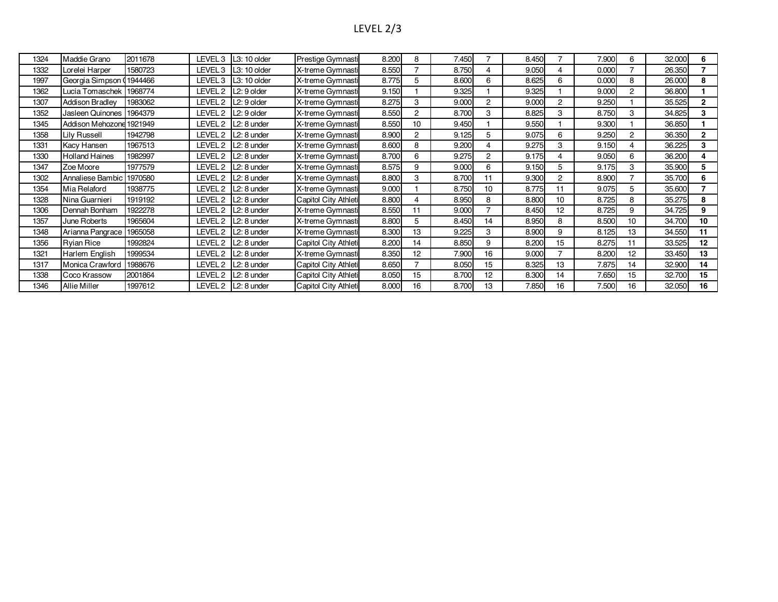# LEVEL 2/3

| 1324 | Maddie Grano             | 2011678 |         | LEVEL 3   L3: 10 older   | Prestige Gymnasti    | 8.200 | 8              | 7.450 |                | 8.450 |                 | 7.900 | 6  | 32.000 | 6              |
|------|--------------------------|---------|---------|--------------------------|----------------------|-------|----------------|-------|----------------|-------|-----------------|-------|----|--------|----------------|
| 1332 | Lorelei Harper           | 1580723 |         | LEVEL 3   L3: 10 older   | X-treme Gymnasti     | 8.550 |                | 8.750 | 4              | 9.050 |                 | 0.000 |    | 26.350 |                |
| 1997 | Georgia Simpson (1944466 |         | LEVEL 3 | $L3:10$ older            | X-treme Gymnasti     | 8.775 | 5              | 8.600 | 6              | 8.625 | 6               | 0.000 | 8  | 26.000 | 8              |
| 1362 | Lucia Tomaschek          | 1968774 |         | LEVEL $2$ $L2:9$ older   | X-treme Gymnasti     | 9.150 |                | 9.325 |                | 9.325 |                 | 9.000 | 2  | 36.800 |                |
| 1307 | <b>Addison Bradley</b>   | 1983062 | LEVEL 2 | $L2:9$ older             | X-treme Gymnasti     | 8.275 | 3              | 9.000 | $\overline{2}$ | 9.000 | $\overline{2}$  | 9.250 |    | 35.525 | $\mathbf{2}$   |
| 1352 | Jasleen Quinones         | 1964379 | LEVEL 2 | L <sub>2</sub> : 9 older | X-treme Gymnasti     | 8.550 | $\overline{2}$ | 8.700 | 3              | 8.825 | 3               | 8.750 | 3  | 34.825 | 3              |
| 1345 | Addison Mehozone 1921949 |         | LEVEL 2 | L <sub>2</sub> : 8 under | X-treme Gymnasti     | 8.550 | 10             | 9.450 |                | 9.550 |                 | 9.300 |    | 36.850 |                |
| 1358 | <b>Lily Russell</b>      | 1942798 | LEVEL 2 | L <sub>2</sub> : 8 under | X-treme Gymnasti     | 8.900 | $\overline{2}$ | 9.125 | 5              | 9.075 | 6               | 9.250 | 2  | 36.350 | $\overline{2}$ |
| 1331 | Kacy Hansen              | 1967513 | LEVEL 2 | L <sub>2</sub> : 8 under | X-treme Gymnasti     | 8.600 | 8              | 9.200 | 4              | 9.275 | 3               | 9.150 |    | 36.225 | 3              |
| 1330 | <b>Holland Haines</b>    | 1982997 | LEVEL 2 | L <sub>2</sub> : 8 under | X-treme Gymnasti     | 8.700 | 6              | 9.275 | $\overline{2}$ | 9.175 |                 | 9.050 | 6  | 36.200 | 4              |
| 1347 | Zoe Moore                | 1977579 | LEVEL 2 | L <sub>2</sub> : 8 under | X-treme Gymnasti     | 8.575 | 9              | 9.000 | 6              | 9.150 |                 | 9.175 | 3  | 35.900 | 5              |
| 1302 | Annaliese Bambic         | 1970580 |         | LEVEL 2   L2: 8 under    | X-treme Gymnasti     | 8.800 | 3              | 8.700 | 11             | 9.300 | 2               | 8.900 |    | 35.700 | 6              |
| 1354 | Mia Relaford             | 1938775 | LEVEL 2 | L <sub>2</sub> : 8 under | X-treme Gymnasti     | 9.000 |                | 8.750 | 10             | 8.775 | 11              | 9.075 | 5  | 35.600 |                |
| 1328 | Nina Guarnieri           | 1919192 | LEVEL 2 | L <sub>2</sub> : 8 under | Capitol City Athleti | 8.800 |                | 8.950 | 8              | 8.800 | 10              | 8.725 | 8  | 35.275 | 8              |
| 1306 | Dennah Bonham            | 1922278 |         | LEVEL 2   L2: 8 under    | X-treme Gymnasti     | 8.550 | 11             | 9.000 |                | 8.450 | 12 <sup>2</sup> | 8.725 | 9  | 34.725 | 9              |
| 1357 | June Roberts             | 1965604 | LEVEL 2 | L <sub>2</sub> : 8 under | X-treme Gymnasti     | 8.800 | 5              | 8.450 | 14             | 8.950 | 8               | 8.500 | 10 | 34.700 | 10             |
| 1348 | Arianna Pangrace         | 1965058 | LEVEL 2 | L <sub>2</sub> : 8 under | X-treme Gymnasti     | 8.300 | 13             | 9.225 | 3              | 8.900 | 9               | 8.125 | 13 | 34.550 | 11             |
| 1356 | <b>Ryian Rice</b>        | 1992824 | LEVEL 2 | $L2:8$ under             | Capitol City Athleti | 8.200 | 14             | 8.850 | 9              | 8.200 | 15              | 8.275 | 11 | 33.525 | 12             |
| 1321 | Harlem English           | 1999534 | LEVEL 2 | L <sub>2</sub> : 8 under | X-treme Gymnasti     | 8.350 | 12             | 7.900 | 16             | 9.000 |                 | 8.200 | 12 | 33.450 | 13             |
| 1317 | Monica Crawford          | 1988676 | LEVEL 2 | L <sub>2</sub> : 8 under | Capitol City Athleti | 8.650 |                | 8.050 | 15             | 8.325 | 13              | 7.875 | 14 | 32.900 | 14             |
| 1338 | Coco Krassow             | 2001864 | LEVEL 2 | L2: 8 under              | Capitol City Athleti | 8.050 | 15             | 8.700 | 12             | 8.300 | 14              | 7.650 | 15 | 32.700 | 15             |
| 1346 | <b>Allie Miller</b>      | 1997612 |         | LEVEL 2   L2: 8 under    | Capitol City Athleti | 8.000 | 16             | 8.700 | 13             | 7.850 | 16              | 7.500 | 16 | 32.050 | 16             |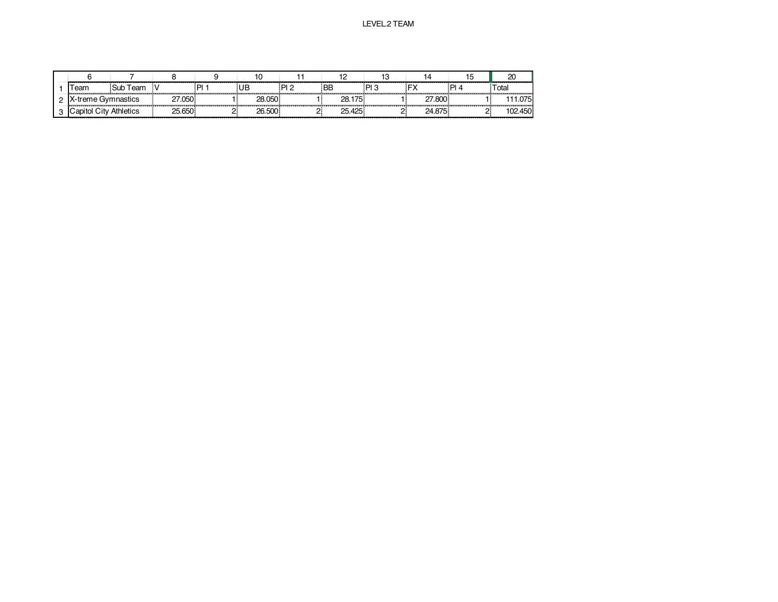|  |                               |          |                   |         |        |             |            |      |        |   | 20      |
|--|-------------------------------|----------|-------------------|---------|--------|-------------|------------|------|--------|---|---------|
|  | <b>Feam</b>                   | Sub Team | .                 | ום<br>. | UB     | י ום :<br>. | <b>BE</b>  | ף ום |        | D | Total   |
|  | X-treme Gymnastics            |          | <sup>~7.050</sup> |         | 28.050 |             | 28.175<br> | .    | 7.800  |   | .075    |
|  | <b>Capitol City Athletics</b> |          | 25.650            |         | 26.500 |             | 25.425     |      | 24.875 |   | 102.450 |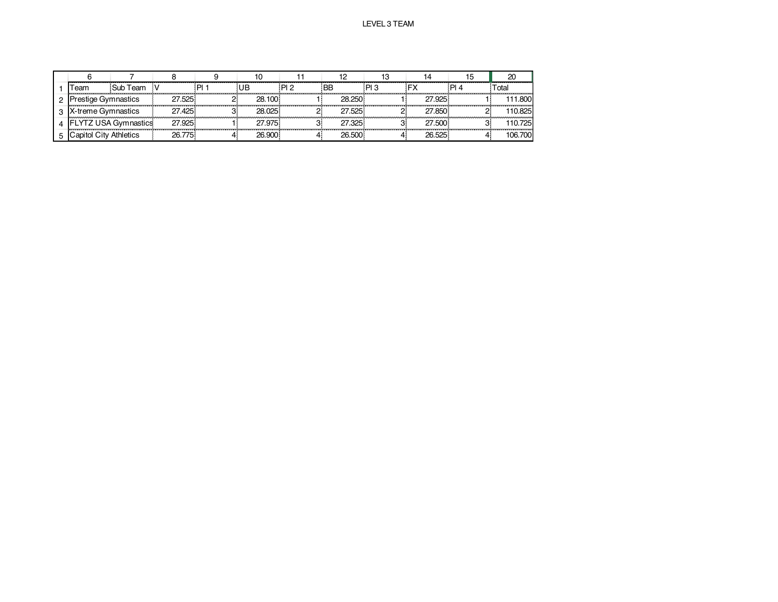|                   |                       |        |      |        |      |         |    |               |    | 20      |
|-------------------|-----------------------|--------|------|--------|------|---------|----|---------------|----|---------|
| eam               | Sub Team              |        | ום : |        | מ ום | ΒB      | וח |               | ום | ctal    |
| estige Gymnastics |                       | 27.525 |      | 28.100 |      | 28 250  |    | 27.925        |    | 111 800 |
| -treme Gymnastics |                       | 27.425 |      | 28.025 |      | 27 525. |    | 27.850        |    | 10825   |
|                   | USA Gymnastics        | 27.925 |      | 27.975 |      | 27.325  |    | 27.500        |    | 10.725  |
|                   | <b>City Athletics</b> | 775    |      | 26 QNN |      |         |    | <b>26 525</b> |    | 106.700 |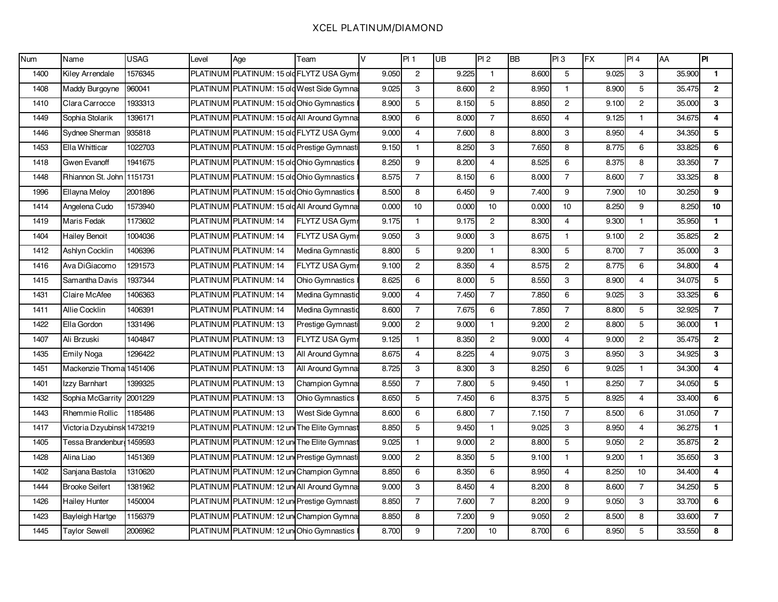### XCEL PLATINUM/DIAMOND

| <b>Num</b> | Name                       | <b>USAG</b> | Level | Age                                         | Team                  | $\vee$ | PI 1           | $\overline{UB}$ | PI2            | <b>BB</b> | PI3            | <b>FX</b> | PI 4           | AA     | PI             |
|------------|----------------------------|-------------|-------|---------------------------------------------|-----------------------|--------|----------------|-----------------|----------------|-----------|----------------|-----------|----------------|--------|----------------|
| 1400       | Kiley Arrendale            | 1576345     |       | PLATINUM PLATINUM: 15 old FLYTZ USA Gymr    |                       | 9.050  | $\mathbf{2}$   | 9.225           | $\mathbf{1}$   | 8.600     | 5              | 9.025     | 3              | 35.900 | $\mathbf{1}$   |
| 1408       | Maddy Burgoyne             | 960041      |       | PLATINUM PLATINUM: 15 old West Side Gymna   |                       | 9.025  | 3              | 8.600           | $\mathbf{2}$   | 8.950     | $\mathbf{1}$   | 8.900     | 5              | 35.475 | $\overline{2}$ |
| 1410       | Clara Carrocce             | 1933313     |       | PLATINUM PLATINUM: 15 old Ohio Gymnastics   |                       | 8.900  | 5              | 8.150           | 5              | 8.850     | $\overline{2}$ | 9.100     | $\overline{2}$ | 35.000 | 3              |
| 1449       | Sophia Stolarik            | 1396171     |       | PLATINUM PLATINUM: 15 old All Around Gymna: |                       | 8.900  | 6              | 8.000           | $\overline{7}$ | 8.650     | $\overline{4}$ | 9.125     | $\mathbf{1}$   | 34.675 | 4              |
| 1446       | Sydnee Sherman             | 935818      |       | PLATINUM PLATINUM: 15 old FLYTZ USA Gymr    |                       | 9.000  | 4              | 7.600           | 8              | 8.800     | 3              | 8.950     | $\overline{4}$ | 34.350 | 5              |
| 1453       | Ella Whitticar             | 1022703     |       | PLATINUM PLATINUM: 15 old Prestige Gymnasti |                       | 9.150  | $\mathbf{1}$   | 8.250           | 3              | 7.650     | 8              | 8.775     | 6              | 33.825 | 6              |
| 1418       | Gwen Evanoff               | 1941675     |       | PLATINUM PLATINUM: 15 old Ohio Gymnastics   |                       | 8.250  | 9              | 8.200           | $\overline{4}$ | 8.525     | 6              | 8.375     | 8              | 33.350 | $\overline{7}$ |
| 1448       | Rhiannon St. John 1151731  |             |       | PLATINUM PLATINUM: 15 old Ohio Gymnastics   |                       | 8.575  | $\overline{7}$ | 8.150           | 6              | 8.000     | $\overline{7}$ | 8.600     | $\overline{7}$ | 33.325 | 8              |
| 1996       | Ellayna Meloy              | 2001896     |       | PLATINUM PLATINUM: 15 old Ohio Gymnastics   |                       | 8.500  | 8              | 6.450           | 9              | 7.400     | 9              | 7.900     | 10             | 30.250 | 9              |
| 1414       | Angelena Cudo              | 1573940     |       | PLATINUM PLATINUM: 15 old All Around Gymnas |                       | 0.000  | 10             | 0.000           | 10             | 0.000     | 10             | 8.250     | 9              | 8.250  | 10             |
| 1419       | <b>Maris Fedak</b>         | 1173602     |       | PLATINUM PLATINUM: 14                       | <b>FLYTZ USA Gymr</b> | 9.175  | $\mathbf{1}$   | 9.175           | 2              | 8.300     | $\overline{4}$ | 9.300     | $\mathbf{1}$   | 35.950 | $\mathbf{1}$   |
| 1404       | <b>Hailey Benoit</b>       | 1004036     |       | PLATINUM PLATINUM: 14                       | <b>FLYTZ USA Gymr</b> | 9.050  | 3              | 9.000           | 3              | 8.675     | $\mathbf{1}$   | 9.100     | $\overline{2}$ | 35.825 | $\overline{2}$ |
| 1412       | Ashlyn Cocklin             | 1406396     |       | PLATINUM PLATINUM: 14                       | Medina Gymnastic      | 8.800  | 5              | 9.200           | $\mathbf{1}$   | 8.300     | 5              | 8.700     | $\overline{7}$ | 35.000 | 3              |
| 1416       | Ava DiGiacomo              | 1291573     |       | PLATINUM PLATINUM: 14                       | FLYTZ USA Gymr        | 9.100  | $\mathbf{2}$   | 8.350           | $\overline{4}$ | 8.575     | $\mathbf{2}$   | 8.775     | 6              | 34.800 | 4              |
| 1415       | Samantha Davis             | 1937344     |       | PLATINUM PLATINUM: 14                       | Ohio Gymnastics       | 8.625  | 6              | 8.000           | 5              | 8.550     | 3              | 8.900     | 4              | 34.075 | 5              |
| 1431       | Claire McAfee              | 1406363     |       | PLATINUM PLATINUM: 14                       | Medina Gymnastic      | 9.000  | $\overline{4}$ | 7.450           | $\overline{7}$ | 7.850     | 6              | 9.025     | 3              | 33.325 | 6              |
| 1411       | Allie Cocklin              | 1406391     |       | PLATINUM PLATINUM: 14                       | Medina Gymnastic      | 8.600  | $\overline{7}$ | 7.675           | 6              | 7.850     | $\overline{7}$ | 8.800     | 5              | 32.925 | $\overline{7}$ |
| 1422       | Ella Gordon                | 1331496     |       | PLATINUM PLATINUM: 13                       | Prestige Gymnasti     | 9.000  | $\overline{2}$ | 9.000           | $\mathbf{1}$   | 9.200     | $\overline{2}$ | 8.800     | 5              | 36.000 | $\mathbf{1}$   |
| 1407       | Ali Brzuski                | 1404847     |       | PLATINUM PLATINUM: 13                       | <b>FLYTZ USA Gymr</b> | 9.125  | $\mathbf{1}$   | 8.350           | $\overline{2}$ | 9.000     | $\overline{4}$ | 9.000     | $\overline{2}$ | 35.475 | $\overline{2}$ |
| 1435       | <b>Emily Noga</b>          | 1296422     |       | PLATINUM PLATINUM: 13                       | All Around Gymna:     | 8.675  | $\overline{4}$ | 8.225           | $\overline{4}$ | 9.075     | 3              | 8.950     | 3              | 34.925 | $\mathbf{3}$   |
| 1451       | Mackenzie Thoma 1451406    |             |       | PLATINUM PLATINUM: 13                       | All Around Gymna      | 8.725  | 3              | 8.300           | 3              | 8.250     | 6              | 9.025     | $\mathbf{1}$   | 34.300 | 4              |
| 1401       | Izzy Barnhart              | 1399325     |       | PLATINUM PLATINUM: 13                       | Champion Gymna:       | 8.550  | $\overline{7}$ | 7.800           | 5              | 9.450     | $\mathbf{1}$   | 8.250     | $\overline{7}$ | 34.050 | 5              |
| 1432       | Sophia McGarrity           | 2001229     |       | PLATINUM PLATINUM: 13                       | Ohio Gymnastics       | 8.650  | 5              | 7.450           | 6              | 8.375     | 5              | 8.925     | $\overline{4}$ | 33.400 | 6              |
| 1443       | <b>Rhemmie Rollic</b>      | 1185486     |       | PLATINUM PLATINUM: 13                       | West Side Gymna:      | 8.600  | 6              | 6.800           | $\overline{7}$ | 7.150     | $\overline{7}$ | 8.500     | 6              | 31.050 | $\overline{7}$ |
| 1417       | Victoria Dzyubinsk 1473219 |             |       | PLATINUM PLATINUM: 12 un The Elite Gymnast  |                       | 8.850  | 5              | 9.450           | $\mathbf{1}$   | 9.025     | 3              | 8.950     | $\overline{4}$ | 36.275 | $\mathbf{1}$   |
| 1405       | Tessa Brandenburg 1459593  |             |       | PLATINUM PLATINUM: 12 un The Elite Gymnast  |                       | 9.025  | $\mathbf{1}$   | 9.000           | $\mathbf{2}$   | 8.800     | 5              | 9.050     | $\overline{2}$ | 35.875 | $\overline{2}$ |
| 1428       | Alina Liao                 | 1451369     |       | PLATINUM PLATINUM: 12 un Prestige Gymnasti  |                       | 9.000  | $\overline{2}$ | 8.350           | 5              | 9.100     | $\mathbf{1}$   | 9.200     | $\mathbf{1}$   | 35.650 | 3              |
| 1402       | Sanjana Bastola            | 1310620     |       | PLATINUM PLATINUM: 12 un Champion Gymna     |                       | 8.850  | 6              | 8.350           | 6              | 8.950     | 4              | 8.250     | 10             | 34.400 | 4              |
| 1444       | <b>Brooke Seifert</b>      | 1381962     |       | PLATINUM PLATINUM: 12 un All Around Gymna   |                       | 9.000  | 3              | 8.450           | $\overline{4}$ | 8.200     | 8              | 8.600     | $\overline{7}$ | 34.250 | 5              |
| 1426       | <b>Hailey Hunter</b>       | 1450004     |       | PLATINUM PLATINUM: 12 un Prestige Gymnasti  |                       | 8.850  | $\overline{7}$ | 7.600           | $\overline{7}$ | 8.200     | 9              | 9.050     | 3              | 33.700 | 6              |
| 1423       | Bayleigh Hartge            | 1156379     |       | PLATINUM PLATINUM: 12 un Champion Gymnas    |                       | 8.850  | 8              | 7.200           | 9              | 9.050     | $\overline{2}$ | 8.500     | 8              | 33.600 | $\overline{7}$ |
| 1445       | <b>Taylor Sewell</b>       | 2006962     |       | PLATINUM PLATINUM: 12 un Ohio Gymnastics    |                       | 8.700  | 9              | 7.200           | 10             | 8.700     | 6              | 8.950     | 5              | 33.550 | 8              |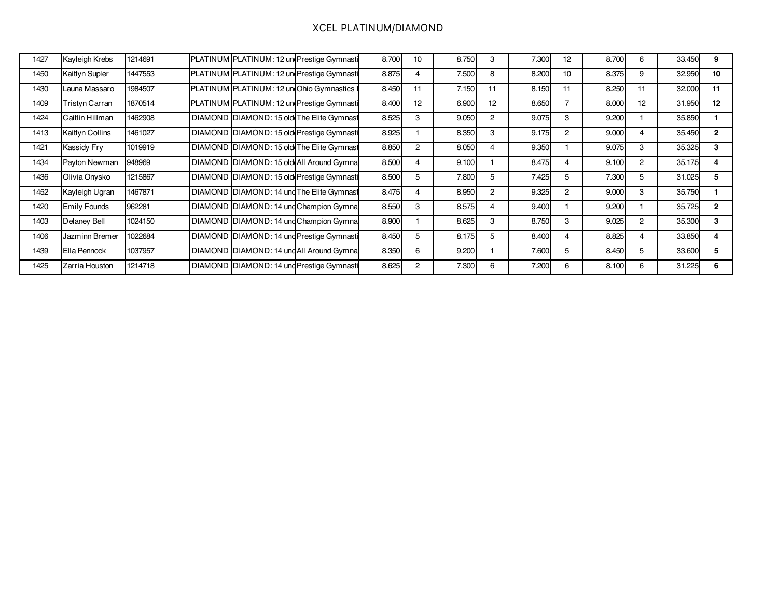### XCEL PLATINUM/DIAMOND

| 1427 | Kayleigh Krebs      | 1214691 | PLATINUM PLATINUM: 12 un Prestige Gymnasti | 8.700 | 10 | 8.750 | 3  | 7.300 | 12             | 8.700 | 6              | 33.450 | 9            |
|------|---------------------|---------|--------------------------------------------|-------|----|-------|----|-------|----------------|-------|----------------|--------|--------------|
| 1450 | Kaitlyn Supler      | 1447553 | PLATINUM PLATINUM: 12 un Prestige Gymnasti | 8.875 | 4  | 7.500 | 8  | 8.200 | 10             | 8.375 | 9              | 32.950 | 10           |
| 1430 | Launa Massaro       | 1984507 | PLATINUM PLATINUM: 12 un Ohio Gymnastics   | 8.450 | 11 | 7.150 |    | 8.150 | 11             | 8.250 | 11             | 32.000 | 11           |
| 1409 | Tristyn Carran      | 1870514 | PLATINUM PLATINUM: 12 un Prestige Gymnasti | 8.400 | 12 | 6.900 | 12 | 8.650 |                | 8.000 | 12             | 31.950 | 12           |
| 1424 | Caitlin Hillman     | 1462908 | DIAMOND DIAMOND: 15 old The Elite Gymnast  | 8.525 | 3  | 9.050 | 2  | 9.075 | 3              | 9.200 |                | 35.850 |              |
| 1413 | Kaitlyn Collins     | 1461027 | DIAMOND DIAMOND: 15 old Prestige Gymnasti  | 8.925 |    | 8.350 | 3  | 9.175 | $\overline{2}$ | 9.000 |                | 35.450 | $\mathbf{2}$ |
| 1421 | Kassidy Fry         | 1019919 | DIAMOND DIAMOND: 15 old The Elite Gymnast  | 8.850 | 2  | 8.050 | 4  | 9.350 |                | 9.075 | 3              | 35.325 | 3            |
| 1434 | Payton Newman       | 948969  | DIAMOND DIAMOND: 15 old All Around Gymnal  | 8.500 | 4  | 9.100 |    | 8.475 |                | 9.100 | $\overline{2}$ | 35.175 |              |
| 1436 | Olivia Onysko       | 1215867 | DIAMOND DIAMOND: 15 old Prestige Gymnasti  | 8.500 | 5  | 7.800 | 5  | 7.425 | 5              | 7.300 | 5              | 31.025 | 5            |
| 1452 | Kayleigh Ugran      | 1467871 | DIAMOND DIAMOND: 14 und The Elite Gymnast  | 8.475 | 4  | 8.950 | 2  | 9.325 | 2              | 9.000 | 3              | 35.750 |              |
| 1420 | <b>Emily Founds</b> | 962281  | DIAMOND DIAMOND: 14 und Champion Gymnal    | 8.550 | 3  | 8.575 | 4  | 9.400 |                | 9.200 |                | 35.725 | $\mathbf{2}$ |
| 1403 | Delaney Bell        | 1024150 | DIAMOND DIAMOND: 14 und Champion Gymnal    | 8.900 |    | 8.625 | 3  | 8.750 | З              | 9.025 | 2              | 35.300 | 3            |
| 1406 | Jazminn Bremer      | 1022684 | DIAMOND DIAMOND: 14 und Prestige Gymnasti  | 8.450 | 5  | 8.175 | 5  | 8.400 | 4              | 8.825 | 4              | 33.850 |              |
| 1439 | Ella Pennock        | 1037957 | DIAMOND DIAMOND: 14 und All Around Gymnal  | 8.350 | 6  | 9.200 |    | 7.600 | 5              | 8.450 | 5              | 33.600 | 5            |
| 1425 | Zarria Houston      | 1214718 | DIAMOND DIAMOND: 14 und Prestige Gymnasti  | 8.625 | 2  | 7.300 | 6  | 7.200 | 6              | 8.100 | 6              | 31.225 | 6            |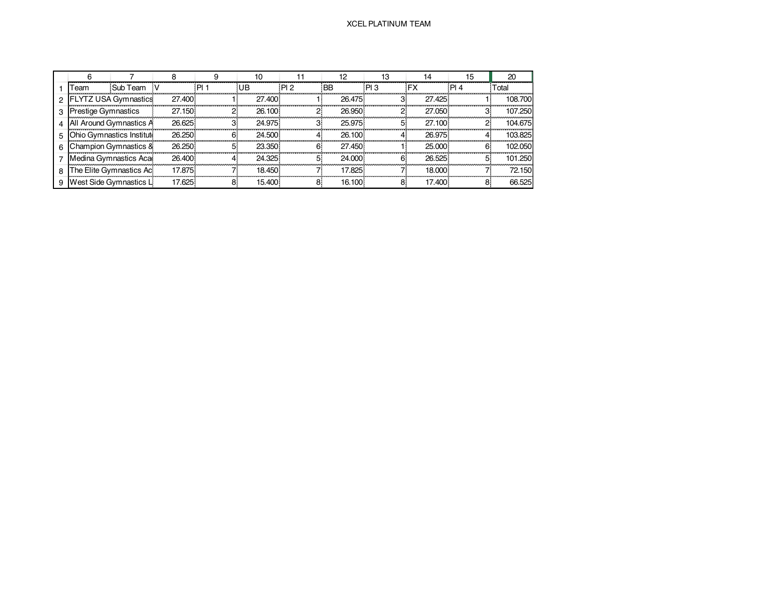|                       |                           |        |        | 10     |     | 12        | 13  | 14        | 15              | 20      |
|-----------------------|---------------------------|--------|--------|--------|-----|-----------|-----|-----------|-----------------|---------|
| Team                  | Sub Team V                |        | : PI 1 | :UB    | PI2 | <b>BB</b> | PI3 | <b>FX</b> | P <sub>14</sub> | Total   |
|                       | 2 FLYTZ USA Gymnastics    | 27.400 |        | 27.400 |     | 26.475    |     | 27.425    |                 | 108.700 |
| 3 Prestige Gymnastics |                           | 27.150 |        | 26.100 |     | 26.950    |     | 27.050    |                 | 107.250 |
|                       | 4 All Around Gymnastics A | 26.625 | з      | 24.975 |     | 25.975    |     | 27.100    |                 | 104.675 |
|                       | Ohio Gymnastics Institute | 26.250 | 6.     | 24.500 |     | 26.100    |     | 26.975    |                 | 103.825 |
|                       | Champion Gymnastics &     | 26.250 |        | 23.350 |     | 27.450    |     | 25,000    | 6.              | 102.050 |
|                       | Medina Gymnastics Aca     | 26,400 |        | 24.325 |     | 24,000    |     | 26.525    |                 | 101.250 |
|                       | The Elite Gymnastics Ac   | 17.875 |        | 18.450 |     | 17.825    |     | 18.000    |                 | 72.150  |
|                       | West Side Gymnastics L    | 17.625 |        | 15.400 |     | 16.100.   |     | 17.400    |                 | 66.525  |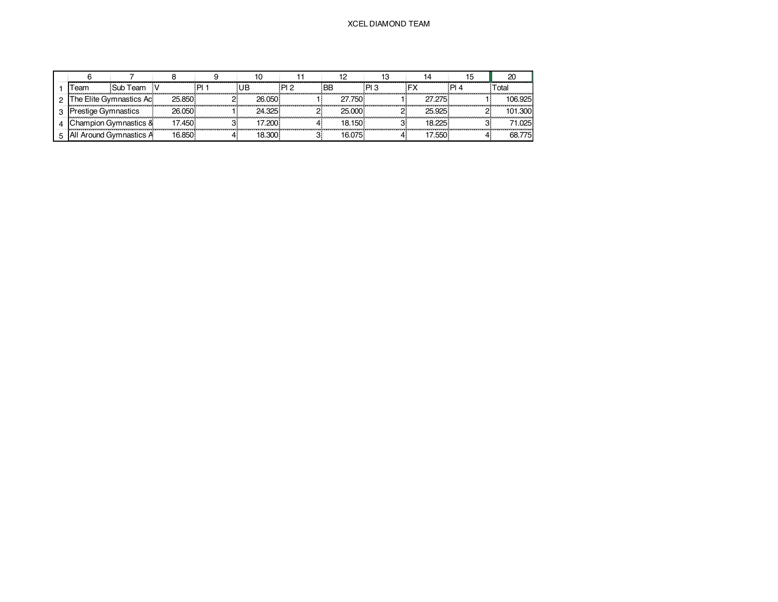#### XCEL DIAMOND TEAM

| eam                     | Sub Team                |         |        | מ ום | BB     | PI 3 |         | otal    |
|-------------------------|-------------------------|---------|--------|------|--------|------|---------|---------|
|                         | he Elite Gymnastics Ac. | 25.850  | 26.050 |      | 750    |      | 27 275. | 106.925 |
| restige Gymnastics      |                         | 26.050. | 24.325 |      | 25.000 |      | 25 Q25. | 101.300 |
|                         | hampion Gymnastics &    | 17.450  |        |      | (150)  |      |         | 1 025   |
| All Around Gymnastics A |                         | 6.850   | 18.300 |      |        |      | .550    | 775     |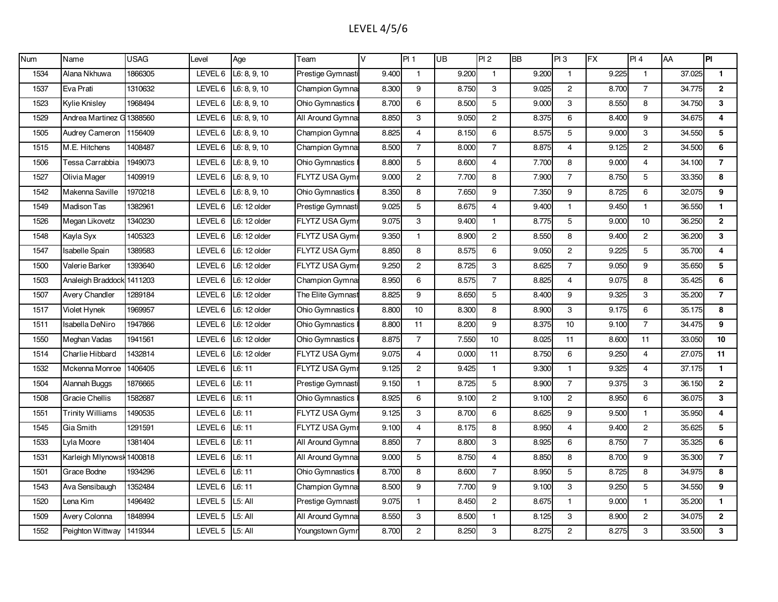# LEVEL 4/5/6

| Num  | Name                      | <b>USAG</b> | Level   | Age          | Team                   | V     | PI 1           | UB    | PI <sub>2</sub> | <b>BB</b> | PI3            | <b>FX</b> | PI 4           | AA     | $\overline{P}$          |
|------|---------------------------|-------------|---------|--------------|------------------------|-------|----------------|-------|-----------------|-----------|----------------|-----------|----------------|--------|-------------------------|
| 1534 | Alana Nkhuwa              | 1866305     | LEVEL 6 | L6: 8, 9, 10 | Prestige Gymnasti      | 9.400 | $\mathbf{1}$   | 9.200 | $\mathbf{1}$    | 9.200     | $\mathbf{1}$   | 9.225     | $\mathbf{1}$   | 37.025 | $\mathbf{1}$            |
| 1537 | Eva Prati                 | 1310632     | LEVEL 6 | L6: 8, 9, 10 | Champion Gymna         | 8.300 | 9              | 8.750 | 3               | 9.025     | $\overline{2}$ | 8.700     | $\overline{7}$ | 34.775 | $\overline{2}$          |
| 1523 | <b>Kylie Knisley</b>      | 1968494     | LEVEL 6 | L6: 8, 9, 10 | <b>Ohio Gymnastics</b> | 8.700 | 6              | 8.500 | 5               | 9.000     | 3              | 8.550     | 8              | 34.750 | 3                       |
| 1529 | Andrea Martinez G 1388560 |             | LEVEL 6 | L6: 8, 9, 10 | All Around Gymnas      | 8.850 | 3              | 9.050 | $\overline{2}$  | 8.375     | 6              | 8.400     | 9              | 34.675 | $\overline{\mathbf{4}}$ |
| 1505 | Audrey Cameron            | 1156409     | LEVEL 6 | L6: 8, 9, 10 | Champion Gymna:        | 8.825 | $\overline{4}$ | 8.150 | 6               | 8.575     | 5              | 9.000     | 3              | 34.550 | 5                       |
| 1515 | M.E. Hitchens             | 1408487     | LEVEL 6 | L6: 8, 9, 10 | Champion Gymna         | 8.500 | $\overline{7}$ | 8.000 | $\overline{7}$  | 8.875     | $\overline{4}$ | 9.125     | $\overline{2}$ | 34.500 | 6                       |
| 1506 | Tessa Carrabbia           | 1949073     | LEVEL 6 | L6: 8, 9, 10 | <b>Ohio Gymnastics</b> | 8.800 | 5              | 8.600 | $\overline{4}$  | 7.700     | 8              | 9.000     | $\overline{4}$ | 34.100 | $\overline{7}$          |
| 1527 | Olivia Mager              | 1409919     | LEVEL 6 | L6: 8, 9, 10 | <b>FLYTZ USA Gymr</b>  | 9.000 | $\overline{2}$ | 7.700 | 8               | 7.900     | $\overline{7}$ | 8.750     | 5              | 33.350 | 8                       |
| 1542 | Makenna Saville           | 1970218     | LEVEL 6 | L6: 8, 9, 10 | <b>Ohio Gymnastics</b> | 8.350 | 8              | 7.650 | 9               | 7.350     | 9              | 8.725     | 6              | 32.075 | 9                       |
| 1549 | Madison Tas               | 1382961     | LEVEL 6 | L6: 12 older | Prestige Gymnasti      | 9.025 | 5              | 8.675 | $\overline{4}$  | 9.400     | $\mathbf{1}$   | 9.450     | $\mathbf{1}$   | 36.550 | $\mathbf{1}$            |
| 1526 | Megan Likovetz            | 1340230     | LEVEL 6 | L6: 12 older | FLYTZ USA Gym          | 9.075 | 3              | 9.400 | $\mathbf{1}$    | 8.775     | 5              | 9.000     | 10             | 36.250 | $\mathbf{2}$            |
| 1548 | Kayla Syx                 | 1405323     | LEVEL 6 | L6: 12 older | <b>FLYTZ USA Gymr</b>  | 9.350 | $\mathbf{1}$   | 8.900 | $\overline{2}$  | 8.550     | 8              | 9.400     | $\mathbf{2}$   | 36.200 | 3                       |
| 1547 | Isabelle Spain            | 1389583     | LEVEL 6 | L6: 12 older | FLYTZ USA Gym          | 8.850 | 8              | 8.575 | 6               | 9.050     | $\overline{c}$ | 9.225     | 5              | 35.700 | 4                       |
| 1500 | Valerie Barker            | 1393640     | LEVEL 6 | L6: 12 older | <b>FLYTZ USA Gymr</b>  | 9.250 | $\overline{c}$ | 8.725 | 3               | 8.625     | $\overline{7}$ | 9.050     | 9              | 35.650 | 5                       |
| 1503 | Analeigh Braddock 1411203 |             | LEVEL 6 | L6: 12 older | Champion Gymna         | 8.950 | 6              | 8.575 | $\overline{7}$  | 8.825     | $\overline{4}$ | 9.075     | 8              | 35.425 | 6                       |
| 1507 | <b>Avery Chandler</b>     | 1289184     | LEVEL 6 | L6: 12 older | The Elite Gymnast      | 8.825 | 9              | 8.650 | 5               | 8.400     | 9              | 9.325     | 3              | 35.200 | $\overline{7}$          |
| 1517 | Violet Hynek              | 1969957     | LEVEL 6 | L6: 12 older | Ohio Gymnastics        | 8.800 | 10             | 8.300 | 8               | 8.900     | 3              | 9.175     | 6              | 35.175 | 8                       |
| 1511 | Isabella DeNiro           | 1947866     | LEVEL 6 | L6: 12 older | Ohio Gymnastics        | 8.800 | 11             | 8.200 | 9               | 8.375     | 10             | 9.100     | $\overline{7}$ | 34.475 | 9                       |
| 1550 | Meghan Vadas              | 1941561     | LEVEL 6 | L6: 12 older | Ohio Gymnastics        | 8.875 | $\overline{7}$ | 7.550 | 10              | 8.025     | 11             | 8.600     | 11             | 33.050 | 10                      |
| 1514 | Charlie Hibbard           | 1432814     | LEVEL 6 | L6: 12 older | <b>FLYTZ USA Gymr</b>  | 9.075 | 4              | 0.000 | 11              | 8.750     | 6              | 9.250     | $\overline{4}$ | 27.075 | 11                      |
| 1532 | Mckenna Monroe            | 1406405     | LEVEL 6 | L6: 11       | FLYTZ USA Gym          | 9.125 | $\overline{c}$ | 9.425 | $\mathbf{1}$    | 9.300     | $\overline{1}$ | 9.325     | 4              | 37.175 | 1                       |
| 1504 | Alannah Buggs             | 1876665     | LEVEL 6 | L6: 11       | Prestige Gymnasti      | 9.150 | $\mathbf{1}$   | 8.725 | 5               | 8.900     | $\overline{7}$ | 9.375     | 3              | 36.150 | $\mathbf{2}$            |
| 1508 | Gracie Chellis            | 1582687     | LEVEL 6 | L6: 11       | Ohio Gymnastics        | 8.925 | 6              | 9.100 | $\overline{2}$  | 9.100     | $\overline{2}$ | 8.950     | 6              | 36.075 | 3                       |
| 1551 | Trinity Williams          | 1490535     | LEVEL 6 | L6:11        | FLYTZ USA Gymr         | 9.125 | 3              | 8.700 | 6               | 8.625     | 9              | 9.500     | $\mathbf{1}$   | 35.950 | $\overline{4}$          |
| 1545 | Gia Smith                 | 1291591     | LEVEL 6 | L6: 11       | <b>FLYTZ USA Gymi</b>  | 9.100 | $\overline{4}$ | 8.175 | 8               | 8.950     | $\overline{4}$ | 9.400     | 2              | 35.625 | 5                       |
| 1533 | Lyla Moore                | 1381404     | LEVEL 6 | L6: 11       | All Around Gymna:      | 8.850 | $\overline{7}$ | 8.800 | 3               | 8.925     | 6              | 8.750     | $\overline{7}$ | 35.325 | 6                       |
| 1531 | Karleigh Mlynowsk 1400818 |             | LEVEL 6 | L6:11        | All Around Gymna       | 9.000 | 5              | 8.750 | $\overline{4}$  | 8.850     | 8              | 8.700     | 9              | 35.300 | $\overline{7}$          |
| 1501 | Grace Bodne               | 1934296     | LEVEL 6 | L6:11        | Ohio Gymnastics        | 8.700 | 8              | 8.600 | $\overline{7}$  | 8.950     | 5              | 8.725     | 8              | 34.975 | 8                       |
| 1543 | Ava Sensibaugh            | 1352484     | LEVEL 6 | L6: 11       | Champion Gymna         | 8.500 | 9              | 7.700 | 9               | 9.100     | 3              | 9.250     | 5              | 34.550 | 9                       |
| 1520 | Lena Kim                  | 1496492     | LEVEL 5 | L5: All      | Prestige Gymnasti      | 9.075 | $\mathbf{1}$   | 8.450 | $\overline{2}$  | 8.675     | $\mathbf{1}$   | 9.000     | $\mathbf{1}$   | 35.200 | $\mathbf{1}$            |
| 1509 | Avery Colonna             | 1848994     | LEVEL 5 | L5: All      | All Around Gymna       | 8.550 | 3              | 8.500 | $\mathbf{1}$    | 8.125     | 3              | 8.900     | $\mathbf{2}$   | 34.075 | $\mathbf{2}$            |
| 1552 | Peighton Wittway          | 1419344     | LEVEL 5 | L5: All      | Youngstown Gymr        | 8.700 | $\mathbf{2}$   | 8.250 | 3               | 8.275     | $\overline{2}$ | 8.275     | 3              | 33.500 | 3                       |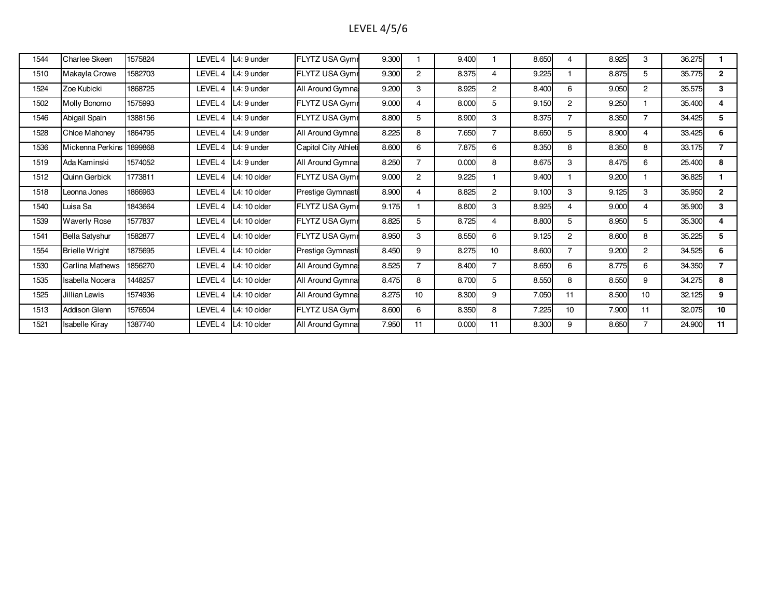# LEVEL 4/5/6

| 1544 | Charlee Skeen         | 1575824 | LEVEL 4 | L4: 9 under   | FLYTZ USA Gymr        | 9.300 |                | 9.400 |                | 8.650 | 4              | 8.925 | 3                | 36.275 |                 |
|------|-----------------------|---------|---------|---------------|-----------------------|-------|----------------|-------|----------------|-------|----------------|-------|------------------|--------|-----------------|
| 1510 | Makayla Crowe         | 1582703 | LEVEL 4 | L4: 9 under   | <b>FLYTZ USA Gymr</b> | 9.300 | $\overline{2}$ | 8.375 | 4              | 9.225 |                | 8.875 | 5                | 35.775 | $\overline{2}$  |
| 1524 | Zoe Kubicki           | 1868725 | LEVEL 4 | L4: 9 under   | All Around Gymna:     | 9.200 | 3              | 8.925 | $\overline{2}$ | 8.400 | 6              | 9.050 | $\overline{2}$   | 35.575 | 3               |
| 1502 | Molly Bonomo          | 1575993 | LEVEL 4 | L4: 9 under   | FLYTZ USA Gymr        | 9.000 | 4              | 8.000 | 5              | 9.150 | $\overline{2}$ | 9.250 |                  | 35.400 | 4               |
| 1546 | Abigail Spain         | 1388156 | LEVEL 4 | L4: 9 under   | FLYTZ USA Gymr        | 8.800 | 5              | 8.900 | 3              | 8.375 | 7              | 8.350 | $\overline{7}$   | 34.425 | 5 <sup>5</sup>  |
| 1528 | Chloe Mahoney         | 1864795 | LEVEL 4 | L4: 9 under   | All Around Gymna:     | 8.225 | 8              | 7.650 | $\overline{7}$ | 8.650 | 5              | 8.900 | $\overline{4}$   | 33.425 | 6               |
| 1536 | Mickenna Perkins      | 899868  | LEVEL 4 | L4: 9 under   | Capitol City Athleti  | 8.600 | 6              | 7.875 | 6              | 8.350 | 8              | 8.350 | 8                | 33.175 | $\overline{7}$  |
| 1519 | Ada Kaminski          | 1574052 | LEVEL 4 | L4: 9 under   | All Around Gymna:     | 8.250 | $\overline{7}$ | 0.000 | 8              | 8.675 | 3              | 8.475 | 6                | 25.400 | 8               |
| 1512 | Quinn Gerbick         | 1773811 | LEVEL 4 | L4: 10 older  | FLYTZ USA Gymr        | 9.000 | $\overline{2}$ | 9.225 |                | 9.400 |                | 9.200 |                  | 36.825 |                 |
| 1518 | Leonna Jones          | 1866963 | LEVEL 4 | L4: 10 older  | Prestige Gymnasti     | 8.900 | 4              | 8.825 | $\overline{2}$ | 9.100 | 3              | 9.125 | 3                | 35.950 | $\overline{2}$  |
| 1540 | Luisa Sa              | 1843664 | LEVEL 4 | $L4:10$ older | <b>FLYTZ USA Gymr</b> | 9.175 |                | 8.800 | 3              | 8.925 | 4              | 9.000 | $\overline{4}$   | 35.900 | 3               |
| 1539 | <b>Waverly Rose</b>   | 1577837 | LEVEL 4 | $L4:10$ older | <b>FLYTZ USA Gymr</b> | 8.825 | 5              | 8.725 | $\overline{4}$ | 8.800 | 5              | 8.950 | 5                | 35.300 | 4               |
| 1541 | <b>Bella Satyshur</b> | 1582877 | LEVEL 4 | $L4:10$ older | FLYTZ USA Gymr        | 8.950 | 3              | 8.550 | 6              | 9.125 | $\overline{2}$ | 8.600 | 8                | 35.225 | 5               |
| 1554 | <b>Brielle Wright</b> | 1875695 | LEVEL 4 | L4: 10 older  | Prestige Gymnasti     | 8.450 | 9              | 8.275 | 10             | 8.600 | 7              | 9.200 | $\overline{2}$   | 34.525 | 6               |
| 1530 | Carlina Mathews       | 1856270 | LEVEL 4 | L4: 10 older  | All Around Gymna:     | 8.525 | $\overline{7}$ | 8.400 | $\overline{7}$ | 8.650 | 6              | 8.775 | 6                | 34.350 | $\overline{7}$  |
| 1535 | Isabella Nocera       | 1448257 | LEVEL 4 | L4: 10 older  | All Around Gymna:     | 8.475 | 8              | 8.700 | 5              | 8.550 | 8              | 8.550 | 9                | 34.275 | 8               |
| 1525 | Jillian Lewis         | 1574936 | LEVEL 4 | L4: 10 older  | All Around Gymna:     | 8.275 | 10             | 8.300 | 9              | 7.050 | 11             | 8.500 | 10 <sup>10</sup> | 32.125 | 9               |
| 1513 | Addison Glenn         | 1576504 | LEVEL 4 | L4: 10 older  | <b>FLYTZ USA Gymr</b> | 8.600 | 6              | 8.350 | 8              | 7.225 | 10             | 7.900 | 11               | 32.075 | 10 <sup>1</sup> |
| 1521 | Isabelle Kiray        | 1387740 | LEVEL 4 | L4: 10 older  | All Around Gymna:     | 7.950 | 11             | 0.000 | 11             | 8.300 | 9              | 8.650 | $\overline{7}$   | 24.900 | 11              |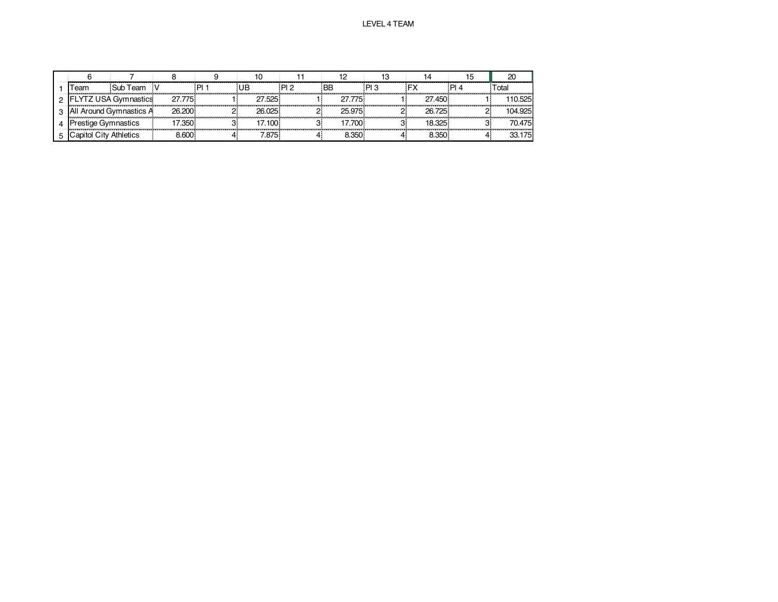|    | eam                     | Sub Team           |        |        | פ ום: | 'BB    | ים |        | ⊺otal   |
|----|-------------------------|--------------------|--------|--------|-------|--------|----|--------|---------|
|    |                         | YTZ USA Gymnastics | 27.775 | 27.525 |       |        |    | 27.450 | 10.525  |
| 21 | All Around Gymnastics A |                    | 26,200 | 26.025 |       | 25 975 |    | 26.725 | 104.925 |
|    | restige Gymnastics      |                    | 7.350  | 7.100  |       |        |    |        | 70.475  |
|    | Capitol City Athletics  |                    | .600   | .875   |       | .350   |    | 3.350  | 33 175  |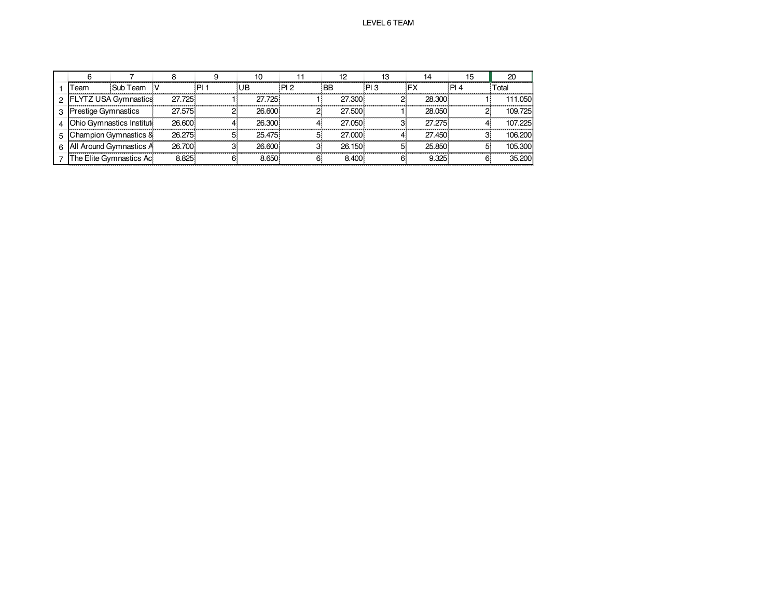|                             |                           |        |        |                 |           |     |        | 20      |
|-----------------------------|---------------------------|--------|--------|-----------------|-----------|-----|--------|---------|
| Team                        | Sub Team                  |        | UB     | PI <sub>2</sub> | <b>BB</b> | PI3 |        | ⊺otal   |
| <b>FLYTZ USA Gymnastics</b> |                           | 27.725 | 27.725 |                 | 27.300    |     | 28.300 | 111.050 |
| <b>Prestige Gymnastics</b>  |                           | 27.575 | 26,600 |                 | 27.500    |     | 28.050 | 109.725 |
|                             | Ohio Gymnastics Instituti | 26,600 | 26.300 |                 | 27.050    |     | 27 275 | 107.225 |
|                             | Champion Gymnastics &     | 26.275 | 25.475 |                 | 27.000    |     | 27.450 | 106.200 |
| 6 All Around Gymnastics A   |                           | 26.700 | 26.600 |                 | 26.150    |     | 25.850 | 105.300 |
|                             | The Elite Gymnastics Ac   | 8.825  | 8.650  |                 | 8.400     |     | 9.325  | 35.200  |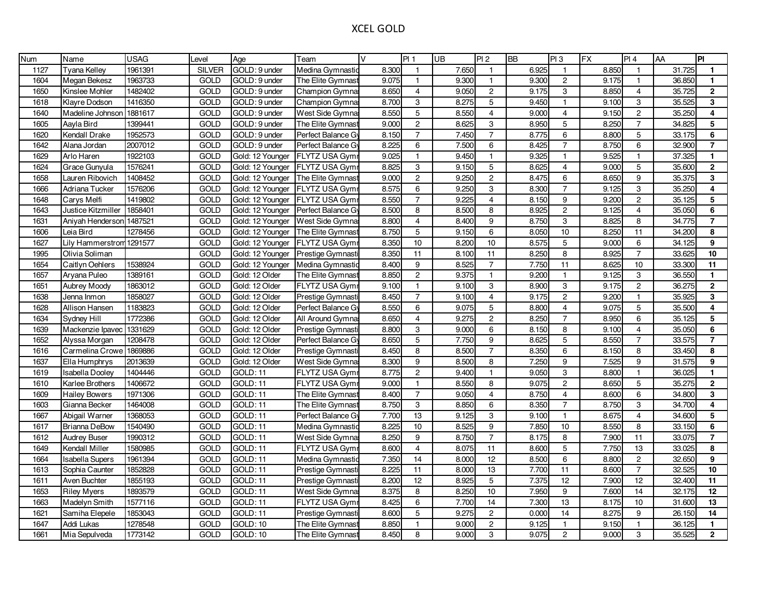### XCEL GOLD

| <b>Num</b> | Name                   | <b>USAG</b> | Level         | Age              | Team                 | $\vee$ | PI1                       | UB    | PI2             | <b>BB</b> | Pl3             | <b>FX</b> | PI4            | AA     | PI               |
|------------|------------------------|-------------|---------------|------------------|----------------------|--------|---------------------------|-------|-----------------|-----------|-----------------|-----------|----------------|--------|------------------|
| 1127       | Tyana Kelley           | 1961391     | <b>SILVER</b> | GOLD: 9 under    | Medina Gymnastic     | 8.300  | $\mathbf{1}$              | 7.650 | $\mathbf{1}$    | 6.925     | $\mathbf{1}$    | 8.850     | $\mathbf{1}$   | 31.725 | $\mathbf{1}$     |
| 1604       | Megan Bekesz           | 1963733     | <b>GOLD</b>   | GOLD: 9 under    | The Elite Gymnast    | 9.075  | $\mathbf{1}$              | 9.300 | $\mathbf{1}$    | 9.300     | $\overline{2}$  | 9.175     | $\overline{1}$ | 36.850 | $\mathbf{1}$     |
| 1650       | Kinslee Mohler         | 1482402     | <b>GOLD</b>   | GOLD: 9 under    | Champion Gymna       | 8.650  | $\overline{4}$            | 9.050 | $\mathbf{2}$    | 9.175     | 3               | 8.850     | $\overline{4}$ | 35.725 | $\overline{2}$   |
| 1618       | Klayre Dodson          | 1416350     | GOLD          | GOLD: 9 under    | Champion Gymna:      | 8.700  | 3                         | 8.275 | 5               | 9.450     | $\overline{1}$  | 9.100     | 3              | 35.525 | 3                |
| 1640       | Madeline Johnson       | 1881617     | <b>GOLD</b>   | GOLD: 9 under    | West Side Gymna      | 8.550  | $\sqrt{5}$                | 8.550 | $\overline{4}$  | 9.000     | $\overline{4}$  | 9.150     | $\overline{c}$ | 35.250 | 4                |
| 1605       | Aayla Bird             | 1399441     | <b>GOLD</b>   | GOLD: 9 under    | The Elite Gymnast    | 9.000  | $\overline{2}$            | 8.625 | $\overline{3}$  | 8.950     | 5               | 8.250     | $\overline{7}$ | 34.825 | 5                |
| 1620       | Kendall Drake          | 1952573     | <b>GOLD</b>   | GOLD: 9 under    | Perfect Balance Gy   | 8.150  | $\overline{7}$            | 7.450 | $\overline{7}$  | 8.775     | $\,6\,$         | 8.800     | 5              | 33.175 | 6                |
| 1642       | Alana Jordan           | 2007012     | <b>GOLD</b>   | GOLD: 9 under    | Perfect Balance Gv   | 8.225  | 6                         | 7.500 | 6               | 8.425     | $\overline{7}$  | 8.750     | 6              | 32.900 | $\overline{7}$   |
| 1629       | Arlo Haren             | 1922103     | <b>GOLD</b>   | Gold: 12 Younger | <b>FLYTZ USA Gym</b> | 9.025  | $\mathbf{1}$              | 9.450 | $\mathbf{1}$    | 9.325     | $\mathbf{1}$    | 9.525     | $\mathbf{1}$   | 37.325 | $\mathbf{1}$     |
| 1624       | Grace Gunyula          | 1576241     | <b>GOLD</b>   | Gold: 12 Younger | FLYTZ USA Gym        | 8.825  | $\ensuremath{\mathsf{3}}$ | 9.150 | 5               | 8.625     | $\overline{4}$  | 9.000     | 5              | 35.600 | $\mathbf{2}$     |
| 1658       | Lauren Ribovich        | 1408452     | <b>GOLD</b>   | Gold: 12 Younger | The Elite Gymnast    | 9.000  | $\mathbf{2}$              | 9.250 | $\overline{2}$  | 8.475     | $\,6\,$         | 8.650     | 9              | 35.375 | 3                |
| 1666       | Adriana Tucker         | 1576206     | <b>GOLD</b>   | Gold: 12 Younger | <b>FLYTZ USA Gym</b> | 8.575  | $\,6\,$                   | 9.250 | 3               | 8.300     | $\overline{7}$  | 9.125     | 3              | 35.250 | 4                |
| 1648       | Carys Melfi            | 1419802     | <b>GOLD</b>   | Gold: 12 Younger | FLYTZ USA Gymi       | 8.550  | $\overline{7}$            | 9.225 | 4               | 8.150     | 9               | 9.200     | $\overline{2}$ | 35.125 | 5                |
| 1643       | Justice Kitzmiller     | 1858401     | <b>GOLD</b>   | Gold: 12 Younger | Perfect Balance Gv   | 8.500  | 8                         | 8.500 | 8               | 8.925     | $\overline{c}$  | 9.125     | $\overline{4}$ | 35.050 | 6                |
| 1631       | Aniyah Henderson       | 1487521     | <b>GOLD</b>   | Gold: 12 Younger | West Side Gymna      | 8.800  | $\overline{4}$            | 8.400 | 9               | 8.750     | 3               | 8.825     | 8              | 34.775 | $\overline{7}$   |
| 1606       | Leia Bird              | 1278456     | <b>GOLD</b>   | Gold: 12 Younger | The Elite Gymnast    | 8.750  | $\overline{5}$            | 9.150 | $\overline{6}$  | 8.050     | 10              | 8.250     | 11             | 34.200 | 8                |
| 1627       | Lily Hammerstrom       | 1291577     | <b>GOLD</b>   | Gold: 12 Younger | FLYTZ USA Gym        | 8.350  | 10                        | 8.200 | 10              | 8.575     | $\overline{5}$  | 9.000     | 6              | 34.125 | 9                |
| 1995       | Olivia Soliman         |             | <b>GOLD</b>   | Gold: 12 Younger | Prestige Gymnasti    | 8.350  | 11                        | 8.100 | $\overline{11}$ | 8.250     | 8               | 8.925     | $\overline{7}$ | 33.625 | 10 <sup>1</sup>  |
| 1654       | Caitlyn Oehlers        | 1538924     | <b>GOLD</b>   | Gold: 12 Younger | Medina Gymnastic     | 8.400  | 9                         | 8.525 | $\overline{7}$  | 7.750     | 11              | 8.625     | 10             | 33.300 | 11               |
| 1657       | Aryana Puleo           | 1389161     | <b>GOLD</b>   | Gold: 12 Older   | The Elite Gymnast    | 8.850  | $\mathbf 2$               | 9.375 | $\mathbf{1}$    | 9.200     | $\overline{1}$  | 9.125     | 3              | 36.550 | $\mathbf{1}$     |
| 1651       | <b>Aubrey Moody</b>    | 1863012     | <b>GOLD</b>   | Gold: 12 Older   | FLYTZ USA Gymi       | 9.100  | $\mathbf{1}$              | 9.100 | 3               | 8.900     | $\mathsf 3$     | 9.175     | $\overline{2}$ | 36.275 | $\mathbf{2}$     |
| 1638       | Jenna Inmon            | 1858027     | <b>GOLD</b>   | Gold: 12 Older   | Prestige Gymnasti    | 8.450  | $\overline{7}$            | 9.100 | $\overline{4}$  | 9.175     | $\overline{c}$  | 9.200     | $\overline{1}$ | 35.925 | 3                |
| 1628       | Allison Hansen         | 1183823     | <b>GOLD</b>   | Gold: 12 Older   | Perfect Balance Gy   | 8.550  | $\,6\,$                   | 9.075 | 5               | 8.800     | $\overline{4}$  | 9.075     | 5              | 35.500 | $\overline{4}$   |
| 1634       | Sydney Hill            | 1772386     | <b>GOLD</b>   | Gold: 12 Older   | All Around Gymna     | 8.650  | $\overline{4}$            | 9.275 | $\overline{2}$  | 8.250     | $\overline{7}$  | 8.950     | 6              | 35.125 | 5                |
| 1639       | Mackenzie Ipavec       | 1331629     | <b>GOLD</b>   | Gold: 12 Older   | Prestige Gymnasti    | 8.800  | 3                         | 9.000 | 6               | 8.150     | 8               | 9.100     | $\overline{4}$ | 35.050 | 6                |
| 1652       | Alyssa Morgan          | 1208478     | <b>GOLD</b>   | Gold: 12 Older   | Perfect Balance Gv   | 8.650  | $\overline{5}$            | 7.750 | $\overline{9}$  | 8.625     | 5               | 8.550     | $\overline{7}$ | 33.575 | $\overline{7}$   |
| 1616       | Carmelina Crowe        | 1869886     | <b>GOLD</b>   | Gold: 12 Older   | Prestige Gymnasti    | 8.450  | 8                         | 8.500 | $\overline{7}$  | 8.350     | 6               | 8.150     | 8              | 33.450 | 8                |
| 1637       | Ella Humphrys          | 2013639     | GOLD          | Gold: 12 Older   | West Side Gymna      | 8.300  | $\boldsymbol{9}$          | 8.500 | 8               | 7.250     | 9               | 7.525     | 9              | 31.575 | $\boldsymbol{9}$ |
| 1619       | <b>Isabella Dooley</b> | 1404446     | <b>GOLD</b>   | GOLD: 11         | FLYTZ USA Gym        | 8.775  | $\overline{2}$            | 9.400 | $\overline{1}$  | 9.050     | $\mathsf 3$     | 8.800     | $\mathbf{1}$   | 36.025 | $\mathbf{1}$     |
| 1610       | Karlee Brothers        | 1406672     | <b>GOLD</b>   | GOLD: 11         | FLYTZ USA Gymi       | 9.000  | $\mathbf{1}$              | 8.550 | 8               | 9.075     | $\mathbf 2$     | 8.650     | 5              | 35.275 | $\mathbf 2$      |
| 1609       | <b>Hailey Bowers</b>   | 1971306     | <b>GOLD</b>   | GOLD: 11         | The Elite Gymnast    | 8.400  | $\overline{7}$            | 9.050 | $\overline{4}$  | 8.750     | $\overline{4}$  | 8.600     | 6              | 34.800 | 3                |
| 1603       | Gianna Becker          | 1464008     | <b>GOLD</b>   | GOLD: 11         | The Elite Gymnast    | 8.750  | $\ensuremath{\mathsf{3}}$ | 8.850 | 6               | 8.350     | $\overline{7}$  | 8.750     | 3              | 34.700 | $\overline{4}$   |
| 1667       | Abigail Warner         | 1368053     | GOLD          | GOLD: 11         | Perfect Balance Gy   | 7.700  | 13                        | 9.125 | 3               | 9.100     | $\overline{1}$  | 8.675     | $\overline{4}$ | 34.600 | 5                |
| 1617       | <b>Brianna DeBow</b>   | 1540490     | GOLD          | GOLD: 11         | Medina Gymnastio     | 8.225  | 10                        | 8.525 | $\overline{9}$  | 7.850     | 10              | 8.550     | 8              | 33.150 | 6                |
| 1612       | <b>Audrey Buser</b>    | 1990312     | <b>GOLD</b>   | <b>GOLD: 11</b>  | West Side Gymna      | 8.250  | 9                         | 8.750 | $\overline{7}$  | 8.175     | 8               | 7.900     | 11             | 33.075 | $\overline{7}$   |
| 1649       | Kendall Miller         | 1580985     | <b>GOLD</b>   | GOLD: 11         | FLYTZ USA Gymi       | 8.600  | $\overline{4}$            | 8.075 | 11              | 8.600     | 5               | 7.750     | 13             | 33.025 | 8                |
| 1664       | <b>Isabella Supers</b> | 1961394     | <b>GOLD</b>   | GOLD: 11         | Medina Gymnastic     | 7.350  | 14                        | 8.000 | 12              | 8.500     | $\,6\,$         | 8.800     | $\overline{2}$ | 32.650 | 9                |
| 1613       | Sophia Caunter         | 1852828     | <b>GOLD</b>   | <b>GOLD: 11</b>  | Prestige Gymnasti    | 8.225  | 11                        | 8.000 | 13              | 7.700     | 11              | 8.600     | $\overline{7}$ | 32.525 | 10               |
| 1611       | Aven Buchter           | 1855193     | <b>GOLD</b>   | GOLD: 11         | Prestige Gymnasti    | 8.200  | $\overline{12}$           | 8.925 | 5               | 7.375     | $\overline{12}$ | 7.900     | 12             | 32.400 | 11               |
| 1653       | <b>Riley Myers</b>     | 1893579     | <b>GOLD</b>   | GOLD: 11         | West Side Gymna      | 8.375  | 8                         | 8.250 | 10              | 7.950     | 9               | 7.600     | 14             | 32.175 | $12$             |
| 1663       | Madelyn Smith          | 1577116     | GOLD          | GOLD: 11         | FLYTZ USA Gymi       | 8.425  | $\,6\,$                   | 7.700 | $\overline{14}$ | 7.300     | 13              | 8.175     | 10             | 31.600 | 13               |
| 1621       | Samiha Elepele         | 1853043     | <b>GOLD</b>   | GOLD: 11         | Prestige Gymnasti    | 8.600  | $\overline{5}$            | 9.275 | $\overline{2}$  | 0.000     | 14              | 8.275     | 9              | 26.150 | 14               |
| 1647       | Addi Lukas             | 1278548     | <b>GOLD</b>   | GOLD: 10         | The Elite Gymnast    | 8.850  | $\mathbf{1}$              | 9.000 | $\overline{c}$  | 9.125     | $\overline{1}$  | 9.150     | $\mathbf{1}$   | 36.125 | $\mathbf{1}$     |
| 1661       | Mia Sepulveda          | 1773142     | <b>GOLD</b>   | <b>GOLD: 10</b>  | The Elite Gymnast    | 8.450  | 8                         | 9.000 | 3               | 9.075     | $\overline{c}$  | 9.000     | 3              | 35.525 | $\overline{2}$   |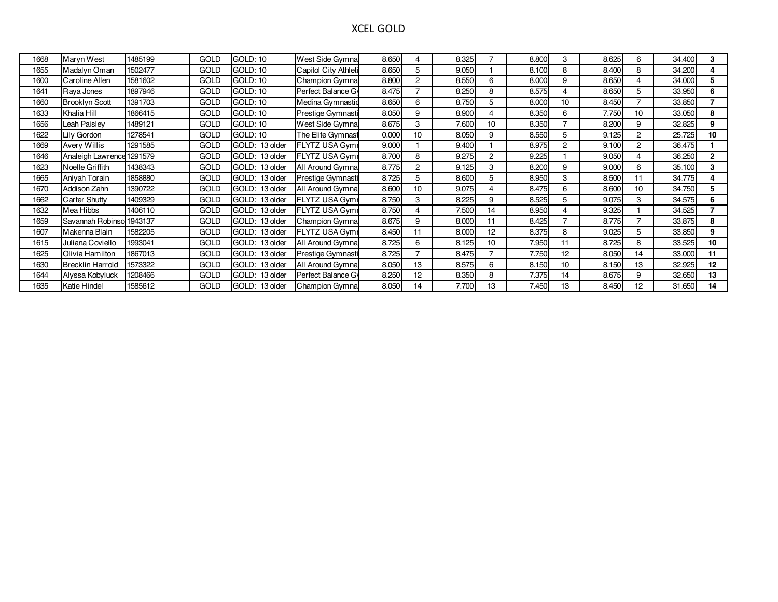### XCEL GOLD

| 1668 | Maryn West                | 1485199 | <b>GOLD</b> | <b>GOLD: 10</b>   | West Side Gymna:      | 8.650 | 4              | 8.325 |                  | 8.800 | 3               | 8.625 | 6  | 34.400 | 3                |
|------|---------------------------|---------|-------------|-------------------|-----------------------|-------|----------------|-------|------------------|-------|-----------------|-------|----|--------|------------------|
| 1655 | Madalyn Oman              | 1502477 | <b>GOLD</b> | <b>GOLD: 10</b>   | Capitol City Athleti  | 8.650 | 5              | 9.050 |                  | 8.100 | 8               | 8.400 | 8  | 34.200 | 4                |
| 1600 | Caroline Allen            | 1581602 | <b>GOLD</b> | GOLD: 10          | <b>Champion Gymna</b> | 8.800 | $\overline{2}$ | 8.550 | 6                | 8.000 | 9               | 8.650 |    | 34.000 | 5                |
| 1641 | Raya Jones                | 1897946 | <b>GOLD</b> | <b>GOLD: 10</b>   | Perfect Balance Gy    | 8.475 |                | 8.250 | 8                | 8.575 |                 | 8.650 | 5  | 33.950 | 6                |
| 1660 | <b>Brooklyn Scott</b>     | 1391703 | <b>GOLD</b> | <b>GOLD: 10</b>   | Medina Gymnastic      | 8.650 | 6              | 8.750 | 5                | 8.000 | 10              | 8.450 |    | 33.850 |                  |
| 1633 | Khalia Hill               | 1866415 | <b>GOLD</b> | <b>GOLD: 10</b>   | Prestige Gymnasti     | 8.050 | 9              | 8.900 |                  | 8.350 | 6               | 7.750 | 10 | 33.050 | 8                |
| 1656 | Leah Paislev              | 1489121 | <b>GOLD</b> | <b>GOLD: 10</b>   | West Side Gymna:      | 8.675 | 3              | 7.600 | 10 <sup>10</sup> | 8.350 |                 | 8.200 | 9  | 32.825 | 9                |
| 1622 | Lily Gordon               | 1278541 | <b>GOLD</b> | <b>GOLD: 10</b>   | The Elite Gymnast     | 0.000 | 10             | 8.050 | 9                | 8.550 | 5               | 9.125 | 2  | 25.725 | 10               |
| 1669 | <b>Avery Willis</b>       | 1291585 | <b>GOLD</b> | GOLD: 13 older    | <b>FLYTZ USA Gymr</b> | 9.000 |                | 9.400 |                  | 8.975 | 2               | 9.100 | 2  | 36.475 |                  |
| 1646 | Analeigh Lawrence 1291579 |         | <b>GOLD</b> | GOLD:<br>13 older | <b>FLYTZ USA Gymr</b> | 8.700 | 8              | 9.275 | 2                | 9.225 |                 | 9.050 |    | 36.250 | $\overline{2}$   |
| 1623 | Noelle Griffith           | 1438343 | <b>GOLD</b> | GOLD:<br>13 older | All Around Gymna:     | 8.775 | $\overline{2}$ | 9.125 | 3                | 8.200 | 9               | 9.000 | 6  | 35.100 | 3                |
| 1665 | Aniyah Torain             | 1858880 | <b>GOLD</b> | GOLD: 13 older    | Prestige Gymnasti     | 8.725 | 5              | 8.600 | 5                | 8.950 | 3               | 8.500 |    | 34.775 | 4                |
| 1670 | Addison Zahn              | 1390722 | <b>GOLD</b> | GOLD:<br>13 older | All Around Gymna:     | 8.600 | 10             | 9.075 |                  | 8.475 | 6               | 8.600 | 10 | 34.750 | 5                |
| 1662 | Carter Shutty             | 1409329 | <b>GOLD</b> | GOLD: 13 older    | <b>FLYTZ USA Gymr</b> | 8.750 | 3              | 8.225 | 9                | 8.525 | 5               | 9.075 | 3  | 34.575 | 6                |
| 1632 | Mea Hibbs                 | 1406110 | <b>GOLD</b> | GOLD: 13 older    | FLYTZ USA Gymr        | 8.750 | 4              | 7.500 | 14               | 8.950 |                 | 9.325 |    | 34.525 |                  |
| 1659 | Savannah Robinso          | 1943137 | <b>GOLD</b> | GOLD:<br>13 older | <b>Champion Gymna</b> | 8.675 | 9              | 8.000 | 11               | 8.425 |                 | 8.775 |    | 33.875 | 8                |
| 1607 | Makenna Blain             | 1582205 | <b>GOLD</b> | GOLD:<br>13 older | <b>FLYTZ USA Gymr</b> | 8.450 | 11             | 8.000 | 12 <sup>2</sup>  | 8.375 | 8               | 9.025 | 5  | 33.850 | 9                |
| 1615 | Juliana Coviello          | 1993041 | <b>GOLD</b> | GOLD: 13 older    | All Around Gymna:     | 8.725 | 6              | 8.125 | 10 <sup>10</sup> | 7.950 |                 | 8.725 | 8  | 33.525 | 10 <sup>10</sup> |
| 1625 | Olivia Hamilton           | 1867013 | <b>GOLD</b> | GOLD:<br>13 older | Prestige Gymnasti     | 8.725 | $\overline{ }$ | 8.475 |                  | 7.750 | 12 <sup>2</sup> | 8.050 | 14 | 33.000 | 11               |
| 1630 | <b>Brecklin Harrold</b>   | 1573322 | <b>GOLD</b> | GOLD:<br>13 older | All Around Gymna:     | 8.050 | 13             | 8.575 | 6                | 8.150 | 10              | 8.150 | 13 | 32.925 | 12               |
| 1644 | Alyssa Kobyluck           | 1208466 | <b>GOLD</b> | GOLD:<br>13 older | Perfect Balance Gy    | 8.250 | 12             | 8.350 | 8                | 7.375 | 14              | 8.675 | 9  | 32.650 | 13               |
| 1635 | Katie Hindel              | 1585612 | <b>GOLD</b> | GOLD: 13 older    | Champion Gymna        | 8.050 | 14             | 7.700 | 13               | 7.450 | 13              | 8.450 | 12 | 31.650 | 14               |